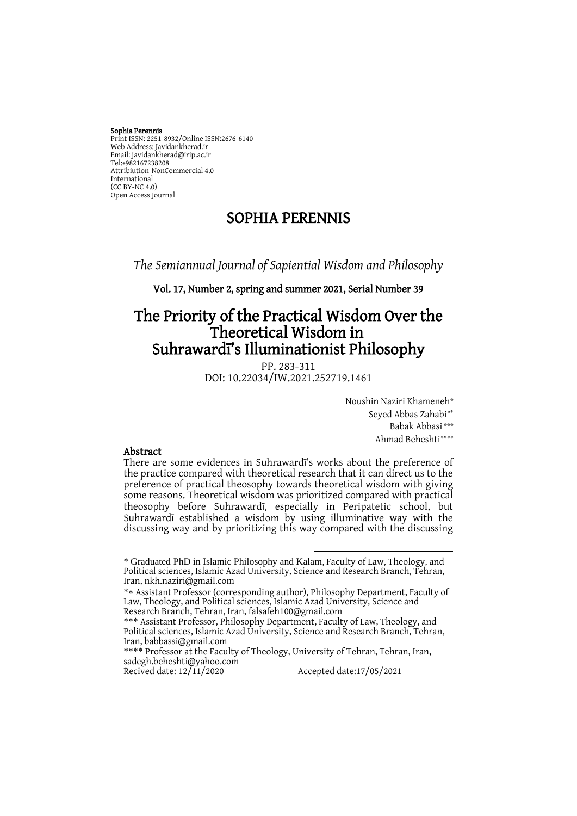#### Sophia Perennis

Print ISSN: 2251-8932/Online ISSN:2676-6140 Web Address: Javidankherad.ir Email[: javidankherad@irip.ac.ir](mailto:javidankherad@irip.ac.ir) [Tel:+982167238208](tel:+982167238208) Attribiution-NonCommercial 4.0 International (CC BY-NC 4.0) Open Access Journal

## SOPHIA PERENNIS

*The Semiannual Journal of Sapiential Wisdom and Philosophy*

#### Vol. 17, Number 2, spring and summer 2021, Serial Number 39

# The Priority of the Practical Wisdom Over the Theoretical Wisdom in Suhrawardī's Illuminationist Philosophy

PP. 283-311 DOI: 10.22034/IW.2021.252719.1461

> Noushin Naziri Khameneh\* Seyed Abbas Zahabi\*\* Babak Abbasi\*\*\* Ahmad Beheshti\*\*\*\*\*

#### Abstract

There are some evidences in Suhrawardī's works about the preference of the practice compared with theoretical research that it can direct us to the preference of practical theosophy towards theoretical wisdom with giving some reasons. Theoretical wisdom was prioritized compared with practical theosophy before Suhrawardī, especially in Peripatetic school, but Suhrawardī established a wisdom by using illuminative way with the discussing way and by prioritizing this way compared with the discussing

 $\overline{a}$ \* Graduated PhD in Islamic Philosophy and Kalam, Faculty of Law, Theology, and Political sciences, Islamic Azad University, Science and Research Branch, Tehran, Iran, nkh.naziri@gmail.com

<sup>\*</sup> Assistant Professor (corresponding author), Philosophy Department, Faculty of Law, Theology, and Political sciences, Islamic Azad University, Science and Research Branch, Tehran, Iran[, falsafeh100@gmail.com](mailto:falsafeh100@gmail.com)

<sup>\*\*\*</sup> Assistant Professor, Philosophy Department, Faculty of Law, Theology, and Political sciences, Islamic Azad University, Science and Research Branch, Tehran, Iran, babbassi@gmail.com

<sup>\*\*\*\*</sup> Professor at the Faculty of Theology, University of Tehran, Tehran, Iran, [sadegh.beheshti@yahoo.com](mailto:sadegh.beheshti@yahoo.com)<br>Recived date: 12/11/2020

Accepted date: 17/05/2021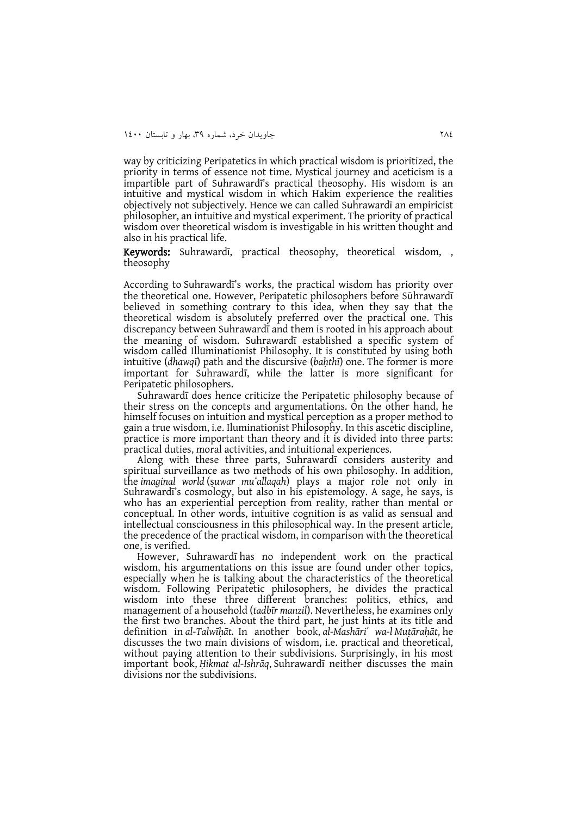way by criticizing Peripatetics in which practical wisdom is prioritized, the priority in terms of essence not time. Mystical journey and aceticism is a impartible part of Suhrawardī's practical theosophy. His wisdom is an intuitive and mystical wisdom in which Hakim experience the realities objectively not subjectively. Hence we can called Suhrawardī an empiricist philosopher, an intuitive and mystical experiment. The priority of practical wisdom over theoretical wisdom is investigable in his written thought and also in his practical life.

Keywords: Suhrawardī, practical theosophy, theoretical wisdom, , theosophy

According to Suhrawardī's works, the practical wisdom has priority over the theoretical one. However, Peripatetic philosophers before Sūhrawardī believed in something contrary to this idea, when they say that the theoretical wisdom is absolutely preferred over the practical one. This discrepancy between Suhrawardī and them is rooted in his approach about the meaning of wisdom. Suhrawardī established a specific system of wisdom called Illuminationist Philosophy. It is constituted by using both intuitive (*dhawqī*) path and the discursive (*baḥthī*) one. The former is more important for Suhrawardī, while the latter is more significant for Peripatetic philosophers.

Suhrawardī does hence criticize the Peripatetic philosophy because of their stress on the concepts and argumentations. On the other hand, he himself focuses on intuition and mystical perception as a proper method to gain a true wisdom, i.e. Iluminationist Philosophy. In this ascetic discipline, practice is more important than theory and it is divided into three parts: practical duties, moral activities, and intuitional experiences.

Along with these three parts, Suhrawardī considers austerity and spiritual surveillance as two methods of his own philosophy. In addition, the *imaginal world* (ṣ*uwar muʻallaqah*) plays a major role not only in Suhrawardī's cosmology, but also in his epistemology. A sage, he says, is who has an experiential perception from reality, rather than mental or conceptual. In other words, intuitive cognition is as valid as sensual and intellectual consciousness in this philosophical way. In the present article, the precedence of the practical wisdom, in comparison with the theoretical one, is verified.

However, Suhrawardī has no independent work on the practical wisdom, his argumentations on this issue are found under other topics, especially when he is talking about the characteristics of the theoretical wisdom. Following Peripatetic philosophers, he divides the practical wisdom into these three different branches: politics, ethics, and management of a household (*tadbīr manzil*). Nevertheless, he examines only the first two branches. About the third part, he just hints at its title and definition in *al-Talwīḥāt.* In another book, *al-Mashāriʿ wa-l Muṭāraḥāt*, he discusses the two main divisions of wisdom, i.e. practical and theoretical, without paying attention to their subdivisions. Surprisingly, in his most important book, *Ḥikmat al-Ishrāq*, Suhrawardī neither discusses the main divisions nor the subdivisions.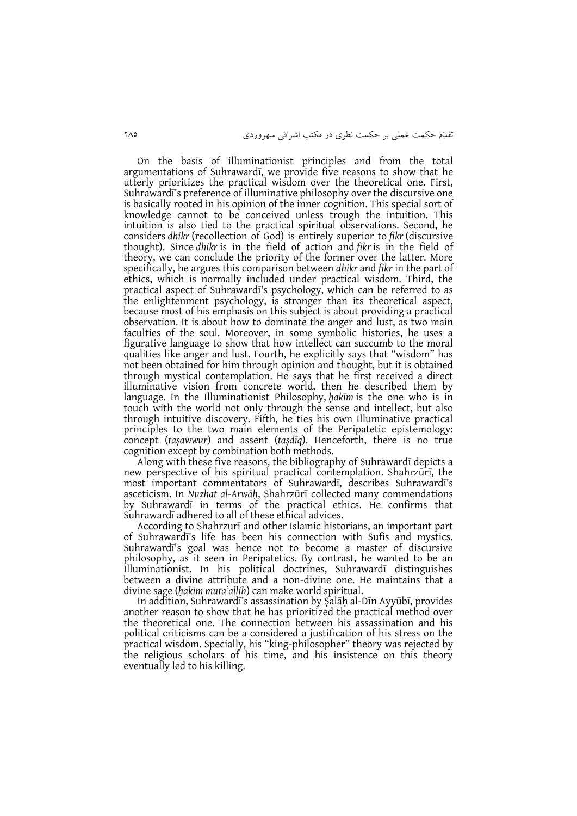On the basis of illuminationist principles and from the total argumentations of Suhrawardī, we provide five reasons to show that he utterly prioritizes the practical wisdom over the theoretical one. First, Suhrawardī's preference of illuminative philosophy over the discursive one is basically rooted in his opinion of the inner cognition. This special sort of knowledge cannot to be conceived unless trough the intuition. This intuition is also tied to the practical spiritual observations. Second, he considers *dhikr* (recollection of God) is entirely superior to *fikr* (discursive thought). Since *dhikr* is in the field of action and *fikr* is in the field of theory, we can conclude the priority of the former over the latter. More specifically, he argues this comparison between *dhikr* and *fikr* in the part of ethics, which is normally included under practical wisdom. Third, the practical aspect of Suhrawardī's psychology, which can be referred to as the enlightenment psychology, is stronger than its theoretical aspect, because most of his emphasis on this subject is about providing a practical observation. It is about how to dominate the anger and lust, as two main faculties of the soul. Moreover, in some symbolic histories, he uses a figurative language to show that how intellect can succumb to the moral qualities like anger and lust. Fourth, he explicitly says that "wisdom" has not been obtained for him through opinion and thought, but it is obtained through mystical contemplation. He says that he first received a direct illuminative vision from concrete world, then he described them by language. In the Illuminationist Philosophy, *ḥakīm* is the one who is in touch with the world not only through the sense and intellect, but also through intuitive discovery. Fifth, he ties his own Illuminative practical principles to the two main elements of the Peripatetic epistemology: concept (*taṣawwur*) and assent (*taṣdīq*). Henceforth, there is no true cognition except by combination both methods.

Along with these five reasons, the bibliography of Suhrawardī depicts a new perspective of his spiritual practical contemplation. Shahrzūrī, the most important commentators of Suhrawardī, describes Suhrawardī's asceticism. In *Nuzhat al-Arwāḥ*, Shahrzūrī collected many commendations by Suhrawardī in terms of the practical ethics. He confirms that Suhrawardī adhered to all of these ethical advices.

According to Shahrzurī and other Islamic historians, an important part of Suhrawardī's life has been his connection with Sufis and mystics. Suhrawardī's goal was hence not to become a master of discursive philosophy, as it seen in Peripatetics. By contrast, he wanted to be an Illuminationist. In his political doctrines, Suhrawardī distinguishes between a divine attribute and a non-divine one. He maintains that a divine sage (*ḥakim mutaʾallih*) can make world spiritual.

In addition, Suhrawardī's assassination by Ṣalāḥ al-Dīn Ayyūbī, provides another reason to show that he has prioritized the practical method over the theoretical one. The connection between his assassination and his political criticisms can be a considered a justification of his stress on the practical wisdom. Specially, his "king-philosopher" theory was rejected by the religious scholars of his time, and his insistence on this theory eventually led to his killing.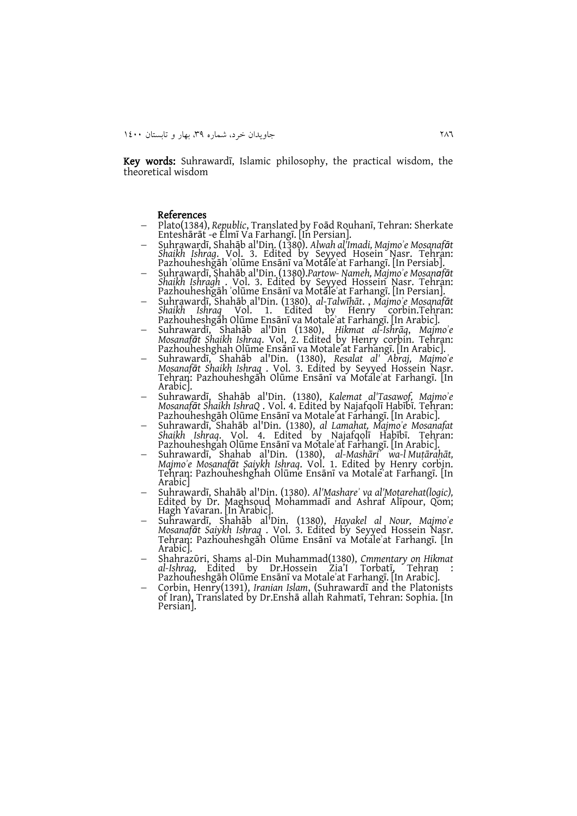Key words: Suhrawardī, Islamic philosophy, the practical wisdom, the theoretical wisdom

#### References

- Plato(1384), *Republic*, Translated by Foād Rouhanī, Tehran: Sherkate Enteshārāt -e Elmī Va Farhangī. [In Persian].
- Suhrawardī, Shahāb al'Din. (1380). *Alwah al'Imadi, Majmoʾe Mosanafāt Shaikh Ishrag. Vol. 3. Edited by Seyyed Hosein Nasr. Tehran:* Pazhouheshgāh ʾolūme Ensānī va Motāleʾat Farhangī. [In Persiab].
- Suhrawardī, Shahāb al'Din. (1380).*Partow- Nameh, Majmoʾe Mosanafāt Shaikh Ishragh* . Vol. 3. Edited by Seyyed Hossein Nasr. Tehran: Pazhouheshgāh ʾolūme Ensānī va Motāleʾat Farhangī. [In Persian].
- Suhrawardī, Shahāb al'Din. (1380). *al-Talwīḥāt*. , *Majmoʾe Mosanafāt Shaikh Ishraq* Vol. 1. Edited by Henry corbin.Tehran: Pazhouheshgāh Olūme Ensānī va Motaleʾat Farhangī. [In Arabic].
- Suhrawardī, Shahāb al'Din (1380), *Ḥikmat al-Ishrāq*, *Majmoʾe Mosanafāt Shaikh Ishraq*. Vol, 2. Edited by Henry corbin. Tehran: Pazhouheshghah Olūme Ensānī va Motaleʾat Farhangī. [In Arabic].
- Suhrawardī, Shahāb al'Din. (1380), *Resalat al' Abraj, Majmoʾe Mosanafāt Shaikh Ishraq* . Vol. 3. Edited by Seyyed Hossein Nasr. Tehran: Pazhouheshgāh Olūme Ensānī va Motaleʾat Farhangī. [In Arabic].
- Suhrawardī, Shahāb al'Din. (1380), *Kalemat al'Tasawof, Majmoʾe Mosanafāt Shaikh IshraQ* . Vol. 4. Edited by Najafqolī Habībī. Tehran: Pazhouheshgāh Olūme Ensānī va Motaleʾat Farhangī. [In Arabic].
- Suhrawardī, Shahāb al'Din. (1380), *al Lamahat, Majmoʾe Mosanafat Shaikh Ishraq*. Vol. 4. Edited by Najafqolī Habībī. Tehran: Pazhouheshgah Olūme Ensānī va Motaleʾat Farhangī. [In Arabic].
- Suhrawardī, Shahab al'Din. (1380), *al-Mashāriʿ wa-l Muṭāraḥāt, Majmoʾe Mosanafāt Saiykh Ishraq*. Vol. 1. Edited by Henry corbin. Tehran: Pazhouheshghah Olūme Ensānī va Motaleʾat Farhangī. [In Arabic]
- Suhrawardī, Shahāb al'Din. (1380). *Al'Mashareʾ va al'Motarehat(logic),* Edited by Dr. Maghsoud Mohammadī and Ashraf Alīpour, Qom; Hagh Yavaran. [In Arabic].
- Suhrawardī, Shahāb al'Din. (1380), *Hayakel al Nour, Majmoʾe Mosanafāt Saiykh Ishraq* . Vol. 3. Edited by Seyyed Hossein Nasr. Tehran: Pazhouheshgāh Olūme Ensānī va Motaleʾat Farhangī. [In Arabic].
- Shahrazῡri, Shams al-Din Muhammad(1380), *Cmmentary on Hikmat*  al-Ishraq, Edited by Dr.Hossein Zia'I Pazhouheshgāh Olūme Ensānī va Motaleʾat Farhangī. [In Arabic].
- Corbin, Henry(1391), *Iranian Islam*, (Suhrawardī and the Platonists of Iran), Translated by Dr.Enshā allah Rahmatī, Tehran: Sophia. [In Persian].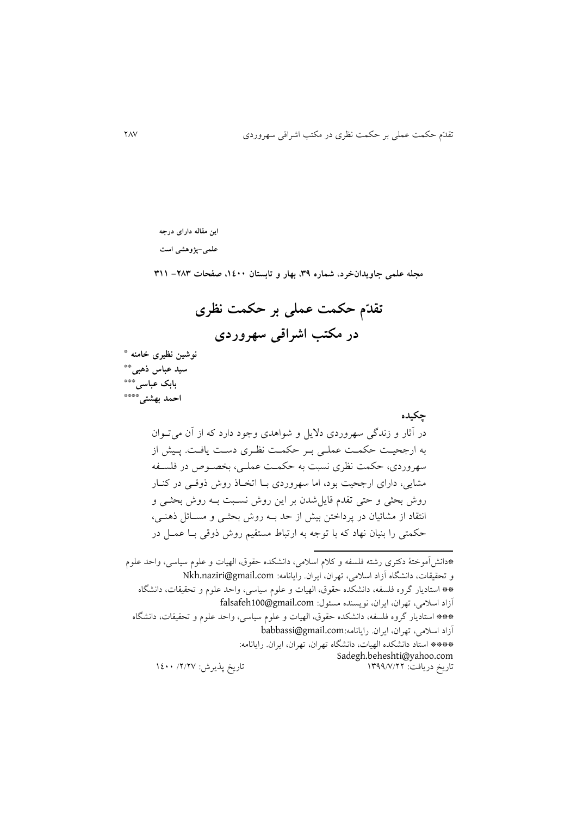**این مقاله دارای درجه** 

**علمی-پژوهشی است**

**مجله علمی جاویدانخرد، شماره ،93 بهار و تابستان ،0011 صفحات -389 900**

 **تقد م حکمت عملی بر حکمت نظری در مکتب اشراقی سهروردی**

 **نوشین نظیری خامنه \* \*\* سید عباس ذهبی \*\*\* بابک عباسی \*\*\*\* احمد بهشتی**

> **چکیده** در آثار و زندگی سهروردی داليل و شواهدی وجود دارد که از آن میتووان به ارجحیت حکمت عملی بر حکمت نظری دست يافت. پيش از سهروردی، حکمت نظری نسبت به حکمت عملـی، بخصـوص در فلسـفه مشايی، دارای ارجحیت بود، اما سهروردی بـا اتخـاذ روش ذوقـی در کنـار روش بحثی و حتی تقدم قايل شدن بر اين روش نسـبت بـه روش بحثـی و انتقاد از مشائیان در پرداختن بیش از حد بـه روش بحثـی و مسـائل ذهنـی، حکمتی را بنیان نهاد که با توجه به ارتباط مستقیم روش ذوقی بـا عمـل در

 $\overline{a}$ 

<sup>\*</sup>دان آموختة دکتری رشته تلس ه و کالم اسالمی، دانشکده حقوق، الهیات و علوم سیاسی، واحد علوم و تحقیقات، دانشگاه آزاد اسلامی، تهران، ايران. رايانامه: Nkh.naziri@gmail.com \*\* استاديار گروه تلس ه، دانشکده حقوق، الهیات و علوم سیاسی، واحد علوم و تحقیقات، دانشگاه آزاد اسلامی، تهران، ايران، نويسنده مسئول: falsafeh100@gmail.com \*\*\* استاديار گروه تلس ه، دانشکده حقوق، الهیات و علوم سیاسی، واحد علوم و تحقیقات، دانشگاه آزاد اسالمی، تهران، ايران. رايانامه:com.gmail@babbassi \*\*\*\* استاد دانشکده الهیات، دانشگاه تهران، تهران، ايران. رايانامه: Sadegh.beheshti@yahoo.com تاريخ پذيرش: ٢/٢٧/ ١٤٠٠ ١٤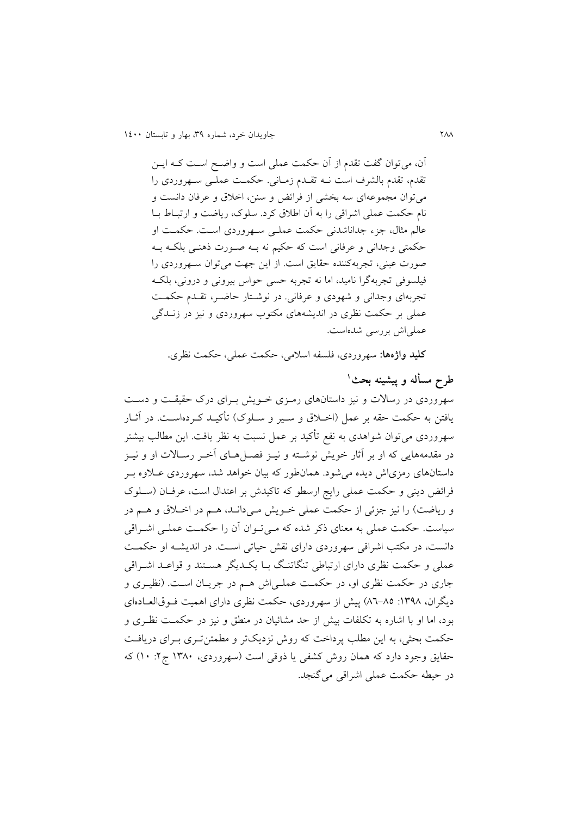آن، میتوان گفت تقدم از آن حکمت عملی است و واضـح اسـت کــه ايــن تقدم، تقدم بالشرف است نــه تقــدم زمــانی. حکمــت عملــی ســهروردی را می توان مجموعهای سه بخشی از فرائض و سنن، اخلاق و عرفان دانست و نام حکمت عملی اشراقی را به آن اطلاق کرد. سلوک، ریاضت و ارتبـاط بـا عالم مثال، جزء جداناشدنی حکمت عملـی سـهروردی اسـت. حکمـت او حکمتی وجدانی و عرفانی است که حکیم نه بـه صـورت ذهنـی بلکـه بـه صورت عینی، تجربهکننده حقایق است. از این جهت می توان سهروردی را تیلسوتی تجربهگرا نامید، اما نه تجربه حسی حواس بیرونی و درونی، بلکوه تجربهای وجدانی و شهودی و عرفانی. در نوشتار حاضـر، تقـدم حکمـت عملی بر حکمت نظری در انديشههای مکتوب سهروردی و نیز در زنودگی عملی اش بررسی شدهاست.

**کلید واژهها:** سهروردی، تلس ه اسالمی، حکمت عملی، حکمت نظری**.**

**<sup>0</sup> طرح مسأله و پیشینه بحث**  سهروردی در رسالات و نیز داستانهای رمـزی خـویش بـرای درک حقیقـت و دسـت يافتن به حکمت حقه بر عمل (اخـلاق و سـير و سـلوک) تأکيــد کــردهاســت. در آثــار سهروردی میتوان شواهدی به نفع تأکید بر عمل نسبت به نظر یافت. این مطالب بیشتر در مقدمههايی که او بر آثار خويش نوشـته و نيــز فصــلهــای آخــر رســالات او و نيــز داستانهای رمزیاش ديده می شود. همانطور که بيان خواهد شد، سهروردی عــلاوه بـر فرائض ديني و حکمت عملي رايج ارسطو که تاکیدش بر اعتدال است، عرفان (سـلوک و رياضت) را نيز جزئي از حکمت عملي خـويش مـيدانــد، هــم در اخــلاق و هــم در سیاست. حکمت عملی به معنای ذکر شده که می توان آن را حکمت عملـی اشـراقی دانست، در مکتب اشراقی سهروردی دارای نقش حیاتی است. در اندیشـه او حکمـت عملی و حکمت نظری دارای ارتباطی تنگاتنگ بـا يکـديگر هسـتند و قواعـد اشـراقی جاری در حکمت نظری او، در حکمت عملـی|ش هـم در جريـان اسـت. (نظيـری و دیگران، ١٣٩٨: ٨٥-٨٦) پیش از سهروردی، حکمت نظری دارای اهمیت فـوقالعـادهای بود، اما او با اشاره به تکلفات بیش از حد مشائیان در منطق و نیز در حکمـت نظـری و حکمت بحثی، به اين مطلب پرداخت که روش نزديکتر و مطمئن تـری بـرای دريافـت حقايق وجود دارد که همان روش کشفی يا ذوقی است (سهروردی، ۱۳۸۰ ج۲: ۱۰) که در حیطه حکمت عملی اشراقی می گنجد.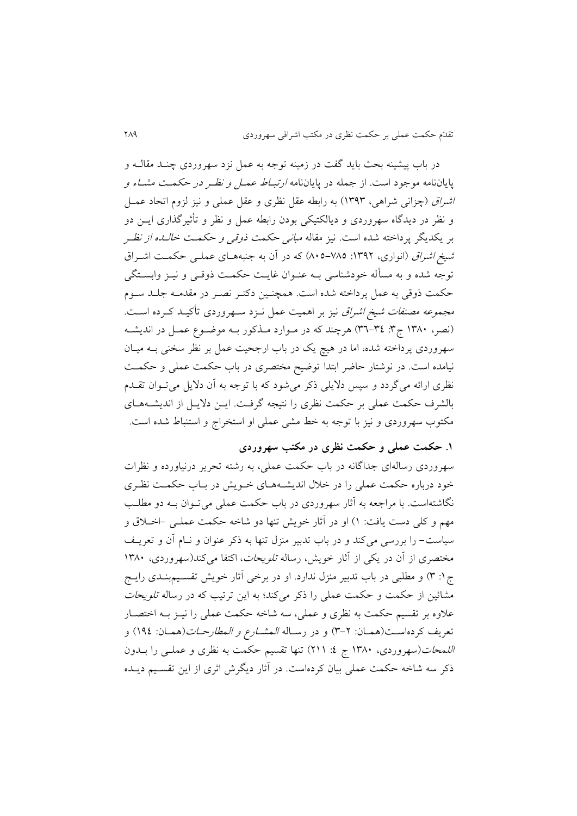در باب پیشینه بحث باید گفت در زمینه توجه به عمل نزد سهروردی چنـد مقالــه و پاياننامه موجود است. از جمله در پاياننامه *ارتبـاط عمـل و نظـر در حکمـت مشـاء و* ا*شراق (*چزانی شراهی، ۱۳۹۳) به رابطه عقل نظری و عقل عملی و نیز لزوم اتحاد عمـل و نظر در ديدگاه سهروردی و ديالکتیکی بودن رابطه عمل و نظر و ت ثیرگذاری ايون دو بر يکديگر پرداخته شده است. نيز مقاله *مباني حکمت ذوقی و حکمـت خالـده از نظـر* شیخ *اشراق* (انواری، ١٣٩٢: ٧٨٥-٨٠٥) که در آن به جنبههای عملـی حکمـت اشـراق توجه شده و به مسأله خودشناسی بــه عنــوان غايــت حکمــت ذوقــی و نيــز وابســتگـی حکمت ذوقی به عمل پرداخته شده است. همچنـین دکتـر نصـر در مقدمـه جلـد سـوم مجم*وعه مصنفات شیخ اشراق* نیز بر اهمیت عمل نـزد سـهروردی تأکیـد کـرده اسـت. (نصر، ١٣٨٠ ج٣: ٣٤-٣٦) هرچند که در مـوارد مـذکور بـه موضـوع عمـل در انديشـه سهروردی پرداخته شده، اما در هیچ یک در باب ارجحیت عمل بر نظر سخنی بــه میــان نیامده است. در نوشتار حاضر ابتدا توضیح مختصری در باب حکمت عملی و حکمت نظری ارائه میگردد و سپس دلایلی ذکر میشود که با توجه به آن دلایل میتوان تقلهم بالشرف حکمت عملی بر حکمت نظری را نتیجه گرتوت. ايون داليول از انديشوه هوای مکتوب سهروردی و نیز با توجه به خط مشی عملی او استخراج و استنباط شده است.

**.0 حکمت عملی و حکمت نظری در مکتب سهروردی**

سهروردی رسالهای جداگانه در باب حکمت عملی، به رشته تحرير درنیاورده و نظرات خود درباره حکمت عملی را در خلال انديشـههـای خـويش در بـاب حکمـت نظـری نگاشتهاست. با مراجعه به آثار سهروردی در باب حکمت عملی میتوان بـه دو مطلـب مهم و کلی دست يافت: ۱) او در آثار خويش تنها دو شاخه حکمت عملـی -اخــلاق و سیاست- را بررسی میکند و در باب تدبیر منزل تنها به ذکر عنوان و نـام آن و تعريـف مختصری از آن در يکی از آثار خويش، رساله *تلويحات*، اکتفا می کند(سهروردی، ۱۳۸۰ ج۱: ۳) و مطلبی در باب تدبیر منزل ندارد. او در برخی آثار خویش تقسیم بندی رایج مشائين از حکمت و حکمت عملی را ذکر میکند؛ به اين ترتیب که در رساله ت*لويحات* علاوه بر تقسیم حکمت به نظری و عملی، سه شاخه حکمت عملی را نیــز بــه اختصــار تعريف كردهاست(همان: ٢-٣) و در رساله *المشارع و المطارحـات*(همـان: ١٩٤) و ا*للمحات(سهرو*ردی، ۱۳۸۰ ج ٤: ۲۱۱) تنها تقسیم حکمت به نظری و عملـی را بــدون ذکر سه شاخه حکمت عملی بیان کردهاست. در آثار ديگرش اثری از اين تقسـيم ديــده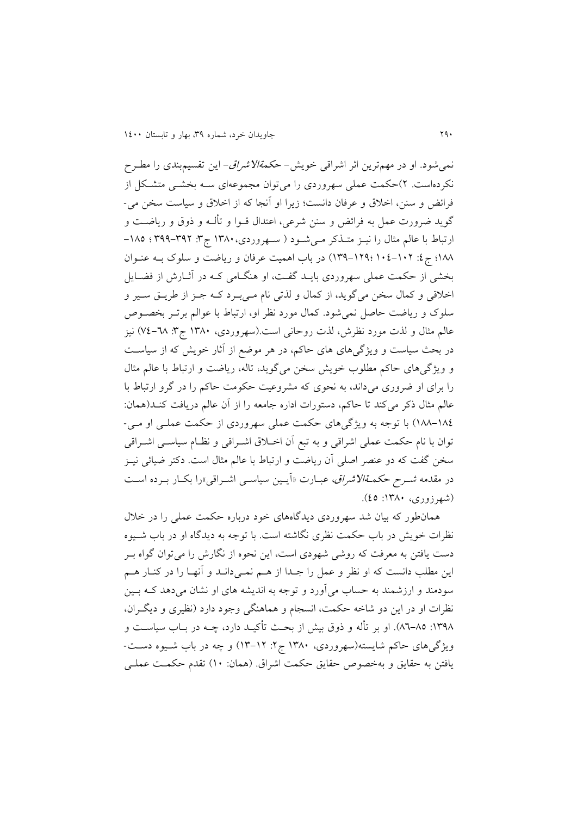نمی شود. او در مهمترين اثر اشراقی خويش- ح*کمةالاشراق- اين تقسیم*بندی را مطـرح نکردهاست. ۲)حکمت عملی سهروردی را میتوان مجموعهای سـه بخشـی متشـکل از فرائض و سنن، اخلاق و عرفان دانست؛ زيرا او آنجا که از اخلاق و سیاست سخن می-گويد ضرورت عمل به فرائض و سنن شرعي، اعتدال قــوا و تألــه و ذوق و رياضــت و ارتباط با عالم مثال را نیـز متـذکر مـیشـود ( سـهروردی، ١٣٨٠ ج٣: ٣٩٩-٣٩٩ ؛ ١٨٥-۱۸۸؛ ج ٤: ۱۰۲-١٢٩ ؛١٣٩-١٣٩) در باب اهميت عرفان و رياضت و سلوک بــه عنــوان بخشی از حکمت عملی سهروردی بايـد گفـت، او هنگــامی کــه در آثــارش از فضــايل اخلاقی و کمال سخن میگويد، از کمال و لذتی نام مـیبـرد کـه جـز از طريـق سـير و سلوک و رياضت حاصل نمی شود. کمال مورد نظر او، ارتباط با عوالم برتـر بخصـوص عالم مثال و لذت مورد نظرش، لذت روحانی است.(سهروردی، ۱۳۸۰ ج۳: ۷۱–۷۶) نیز در بحث سیاست و ویژگیهای های حاکم، در هر موضع از آثار خویش که از سیاست و ويژگی های حاکم مطلوب خويش سخن می گويد، تاله، رياضت و ارتباط با عالم مثال را برای او ضروری میداند، به نحوی که مشروعیت حکومت حاکم را در گرو ارتباط با عالم مثال ذکر میکند تا حاکم، دستورات اداره جامعه را از آن عالم دریافت کنـد(همان: 088-082أ با توجه به ويژگیهای حکمت عملی سهروردی از حکمت عملوی او موی - توان با نام حکمت عملی اشراقی و به تبع آن اخـلاق اشـراقی و نظـام سیاسـی اشـراقی سخن گفت که دو عنصر اصلی آن ریاضت و ارتباط با عالم مثال است. دکتر ضیائی نیـز در مقدمه *شـرح حکمـةالاشراق*، عبـارت «آيـين سياسـي اشـراقي»را بکـار بـرده اسـت )شهرزوری، :0981 22أ.

همانطور که بیان شد سهروردی ديدگاههای خود درباره حکمت عملی را در خالل نظرات خويش در باب حکمت نظری نگاشته است. با توجه به ديدگاه او در باب شـيوه دست يافتن به معرفت که روشی شهودی است، اين نحوه از نگارش را می توان گواه بـر اين مطلب دانست که او نظر و عمل را جـدا از هـم نمـیدانـد و آنهـا را در کنـار هـم سودمند و ارزشمند به حساب می آورد و توجه به اندیشه های او نشان می دهد کـه بـین نظرات او در اين دو شاخه حکمت، انسجام و هماهنگی وجود دارد (نظیری و ديگران، ۱۳۹۸: ۸۵-۸٦). او بر تأله و ذوق بیش از بحث تأکیـد دارد، چــه در بــاب سیاســت و ويژگیهای حاکم شايسته(سهروردی، ۱۳۸۰ ج۲: ۱۲-۱۳) و چه در باب شـيوه دسـت-يافتن به حقايق و بهخصوص حقايق حکمت اشراق. (همان: ١٠) تقدم حکمت عملـی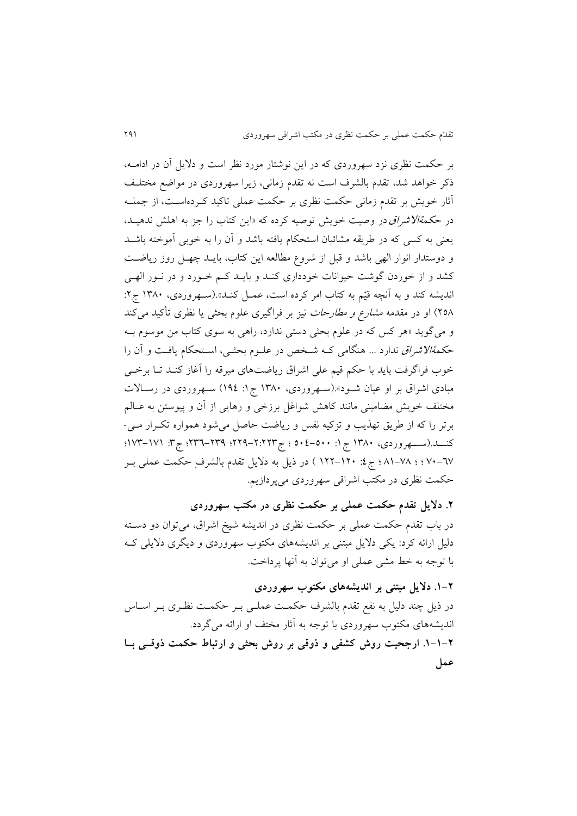بر حکمت نظری نزد سهروردی که در اين نوشتار مورد نظر است و داليل آن در اداموه، ذکر خواهد شد، تقدم بالشرف است نه تقدم زمانی، زیرا سهروردی در مواضع مختلف آثار خويش بر تقدم زمانی حکمت نظری بر حکمت عملی تاکید کـردهاسـت، از جملــه در ح*کمةالاشراق د*ر وصيت خويش توصيه کرده که «اين کتاب را جز به اهلش ندهيـد، یعنی به کسی که در طريقه مشائيان استحکام يافته باشد و آن را به خوبی آموخته باشـد و دوستدار انوار الهی باشد و قبل از شروع مطالعه اين کتاب، بايـد چهـل روز رياضـت کشد و از خوردن گوشت حیوانات خودداری کنـد و بايـد کـم خـورد و در نـور الهـی انديشه کند و به آنچه قیّم به کتاب امر کرده است، عمـل کنـد».(سـهروردی، ۱۳۸۰ ج۲: ۲۵۸) او در مقدمه *مشارع و مطارحات* نیز بر فراگیری علوم بحثی یا نظری تأکید می کند و میگويد »هر کس که در علوم بحثی دستی ندارد، راهی به سوی کتاب من موسوم بوه ح*کمةالاشراق ندارد ... هنگامی ک*ه شخص در علـوم بحثـی، اسـتحکام يافـت و آن را خوب فراگرفت بايد با حکم قیم علی اشراق رياضتهای مبرقه را آغاز کنـد تـا برخـی مبادی اشراق بر او عیان شـود».(سـهروردی، ۱۳۸۰ ج۱: ۱۹٤) سـهروردی در رسـالات مختلف خويش مضامينی مانند کاهش شواغل برزخی و رهايی از آن و پيوستن به عـالم برتر را که از طريق تهذيب و تزکيه نفس و رياضت حاصل می شود همواره تکـرار مـی-کنـــد.(ســــهروردی، ١٣٨٠ ج ١: ٥٠٠-٥٠٤ ؛ ج۳۳٦-٢٢٩؛ 1٧٣--١٧٣؛ ج٣: ١٧١-١٧٣؛ 21-22 ؛ ؛ 80-28 ؛ ج:2 044-041 أ در ريل به داليل تقدم بالشرف حکمت عملی بور حکمت نظری در مکتب اشراقی سهروردی میپردازيم.

**.3 دالیل تقدم حکمت عملی بر حکمت نظری در مکتب سهروردی** در باب تقدم حکمت عملی بر حکمت نظری در اندیشه شیخ اشراق، میتوان دو دسـته دلیل ارائه کرد: يکی دلايل مبتنی بر انديشههای مکتوب سهروردی و ديگری دلايلی ک با توجه به خط مشی عملی او میتوان به آنها پرداخت.

# **.0-3 دالیل مبتنی بر اندیشههای مکتوب سهروردی**

در ذيل چند دليل به نفع تقدم بالشرف حکمت عملـي بـر حکمـت نظـری بـر اسـاس انديشههای مکتوب سهروردی با توجه به آثار مختف او ارائه میگردد. **.0-0-3 ارجحیت روش کشفی و ذوقی بر روش بحثی و ارتباط حکمت ذوقیی بیا عمل**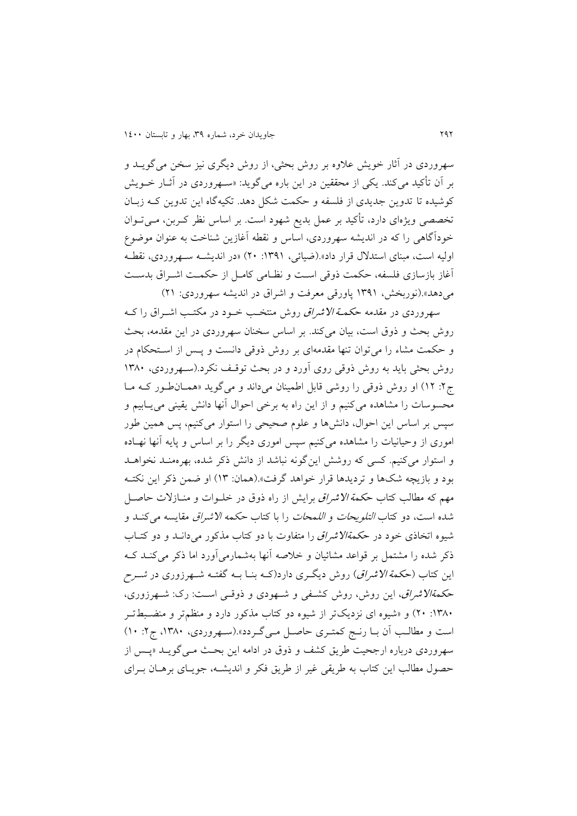سهروردی در آثار خويش علاوه بر روش بحثی، از روش ديگری نيز سخن می گويــد و بر آن تأکید میکند. یکی از محققین در این باره میگوید: «سـهروردی در آثـار خـویش کوشیده تا تدوين جديدی از فلسفه و حکمت شکل دهد. تکیهگاه اين تدوين کـه زبـان تخصصی ويژهای دارد، ت کید بر عمل بديع شهود است. بر اساس نظر کوربن، موی تووان خودآگاهی را که در انديشه سهروردی، اساس و نقطه آغازين شناخت به عنوان موضوع اولیه است، مبنای استدلال قرار داد».(ضیائی، ۱۳۹۱: ۲۰) «در اندیشـه سـهروردی، نقطـه آغاز بازسازی فلسفه، حکمت ذوقی است و نظـامی کامـل از حکمـت اشـراق بدسـت میدهد».(نوربخش، ۱۳۹۱ پاورقی معرفت و اشراق در انديشه سهروردی: ۲۱)

سهروردی در مقدمه ح*کمــة الاشراق ر*وش منتخـب خــود در مکتـب اشــراق را کــه روش بحث و ذوق است، بیان میکند. بر اساس سخنان سهروردی در این مقدمه، بحث و حکمت مشاء را میتوان تنها مقدمهای بر روش ذوقی دانست و پس از استحکام در روش بحثی بايد به روش ذوقی روی آورد و در بحث توقف نکرد.(سـهروردی، ۱۳۸۰ ج۲: ۱۲) او روش ذوقی را روشی قابل اطمینان میداند و میگوید «همان طور که ما محسوسات را مشاهده میکنیم و از این راه به برخی احوال آنها دانش یقینی می یــابیم و سپس بر اساس این احوال، دانشها و علوم صحیحی را استوار میکنیم، پس همین طور اموری از وحیانیات را مشاهده میکنیم سپس اموری دیگر را بر اساس و پایه آنها نهـاده و استوار میکنیم. کسی که روشش اینگونه نباشد از دانش ذکر شده، بهرهمنـد نخواهـد بود و بازيچه شکها و ترديدها قرار خواهد گرفت».(همان: ١٣) او ضمن ذکر اين نکتـه مهم که مطالب کتاب ح*کمة الاشراق ب*رايش از راه ذوق در خلـوات و منـازلات حاصـل شده است، دو کتاب *التلويحات و اللمحات ر*ا با کتاب *حکمه الاشراق مقايسه می کنـد و* شیوه اتخاذی خود در ح*کمةالاشراق ر*ا متفاوت با دو کتاب مذکور می دانید و دو کتباب ذکر شده را مشتمل بر قواعد مشائیان و خلاصه آنها بهشمارمیآورد اما ذکر میکند ک اين کتاب (ح*کمة الاشراق)* روش ديگری دارد(ک4 بنــا بـــه گفتـــه شــهرزوری در *شــرح* ح*کمةالاشراق*، اين روش، روش کشفی و شهودی و ذوقبی است: رک: شهرزوری، :۱۳۸۰: ۲۰) و «شیوه ای نزديکتر از شیوه دو کتاب مذکور دارد و منظمتر و منضـبطتـر است و مطالب آن بــا رنــج کمتــری حاصــل مــیگــردد».(ســهروردی، ۱۳۸۰، ج۲: ۱۰) سهروردی درباره ارجحیت طريق كشف و ذوق در ادامه اين بحث مـي گويـد «پـس از حصول مطالب اين کتاب به طريقی ییر از طريق تکر و انديشوه، جويوای برهوان بورای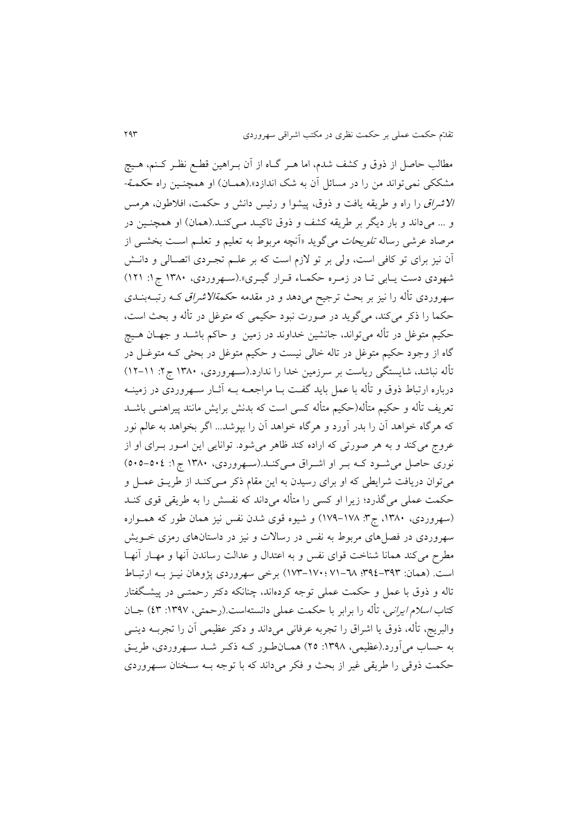مطالب حاصل از ذوق و کشف شدم، اما هـر گـاه از آن بـراهین قطـع نظـر کــنم، هــیچ مشککی نمی تواند من را در مسائل آن به شک اندازد».(همـان) او همچنـین راه ح*کمـة-*الا*شراق را راه و طريقه يافت و ذوق، پيشوا و رئيس دانش و حکمت، افلاطون، هرمس* و ... میداند و بار دیگر بر طریقه کشف و ذوق تاکیـد مـیکنـد.(همان) او همچنـین در مرصاد عرشی رساله *تلويحات می*گويد «آنچه مربوط به تعليم و تعلــم اسـت بخشــی از آن نیز برای تو کافی است، ولی بر تو لازم است که بر علـم تجـردی اتصـالی و دانـش شهودی دست يابی تا در زمره حکماء قـرار گيـری».(سـهروردی، ۱۳۸۰ ج ۱: ۱۲۱) سهروردی تأله را نیز بر بحث ترجیح میدهد و در مقدمه ح*کمةالاشراق ک*ه رتبـهبنــدی حکما را ذکر میکند، میگوید در صورت نبود حکیمی که متوغل در تأله و بحث است، حکیم متوغل در تأله میتواند، جانشین خداوند در زمین و حاکم باشــد و جهــان هــیچ گاه از وجود حکیم متوغل در تاله خالی نیست و حکیم متوغل در بحثی کـه متوغـل در تأله نباشد، شايستگی رياست بر سرزمين خدا را ندارد.(سـهروردی، ۱۳۸۰ ج۲: ۱۱–۱۲) درباره ارتباط ذوق و تأله با عمل باید گفت بـا مراجعــه بــه آثــار ســهروردی در زمینــه تعريف تأله و حکیم متأله(حکیم متأله کسی است که بدنش برايش مانند پیراهنــی باشــد که هرگاه خواهد آن را بدر آورد و هرگاه خواهد آن را بپوشد... اگر بخواهد به عالم نور عروج میکند و به هر صورتی که اراده کند ظاهر می شود. توانایی این امـور بـرای او از نوری حاصل می شود کـه بـر او اشـراق مـیکنـد.(سـهروردی، ۱۳۸۰ ج ۱: ۵۰۵-۵۰۵) میتوان دريافت شرايطی که او برای رسيدن به اين مقام ذکر مـیکنـد از طريــق عمــل و حکمت عملی میگذرد؛ زیرا او کسی را متأله میداند که نفسش را به طریقی قوی کنـد (سهروردی، ۱۳۸۰، ج۳: ۱۷۸–۱۷۹) و شیوه قوی شدن نفس نیز همان طور که همـواره سهروردی در فصلهای مربوط به نفس در رسالات و نیز در داستانهای رمزی خـویش مطرح میکند همانا شناخت قوای نفس و به اعتدال و عدالت رساندن آنها و مهـار آنهـا است. (همان: ۳۹۲-۳۹٤؛ 7۸-۷۱-۱۷۴-۱۷۳) برخی سهروردی پژوهان نیـز بـه ارتبـاط تاله و ذوق با عمل و حکمت عملی توجه کردهاند، چنانکه دکتر رحمتــی در پیشـگفتار کتاب *اسلام ايرانی*، تأله را برابر با حکمت عملی دانستهاست.(رحمتی، ۱۳۹۷: ٤٣) جــان والبريج، تأله، ذوق يا اشراق را تجربه عرفانی میداند و دکتر عظیمی آن را تجربـه دينــی به حساب میآورد.(عظیمی، ۱۳۹۸: ۲۵) همـانطـور کـه ذکـر شـد سـهروردی، طريـق حکمت ذوقی را طريقی غير از بحث و فکر میداند که با توجه بــه سـخنان ســهروردی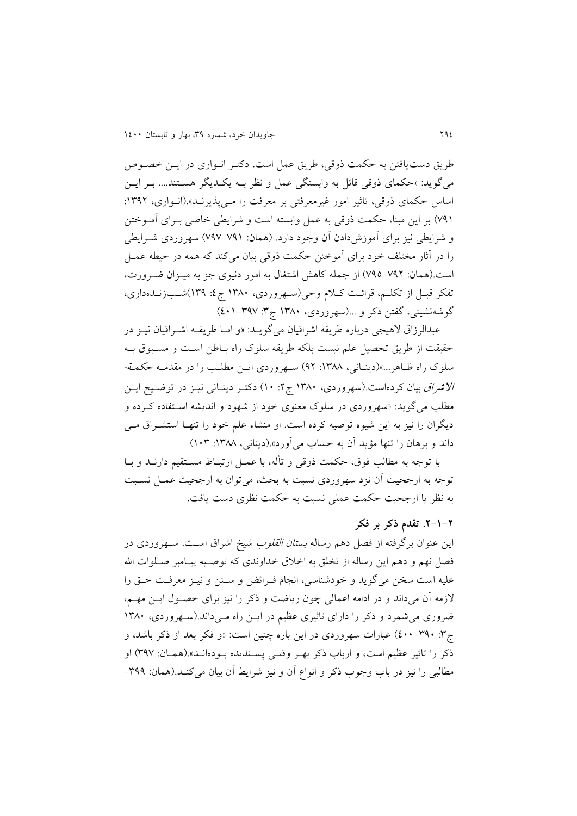طريق دست يافتن به حکمت ذوقي، طريق عمل است. دکتر انـواري در ايـن خصـوص میگويد: «حکمای ذوقی قائل به وابستگی عمل و نظر بـه يکـديگر هسـتند.... بـر ايـن اساس حکمای ذوقی، تاثیر امور غیرمعرفتی بر معرفت را مـیپذیرنـد».(انـواری، ۱۳۹۲: ۷۹۱) بر اين مبنا، حکمت ذوقی به عمل وابسته است و شرايطی خاصی بـرای آمـوختن و شرايطی نيز برای آموزش دادن آن وجود دارد. (همان: ۷۹۱–۷۹۷) سهروردی شــرايطی را در آثار مختلف خود برای آموختن حکمت ذوقی بیان میکند که همه در حیطه عمـل است.(همان: ۷۹۲-۷۹۵) از جمله کاهش اشتغال به امور دنیوی جز به میـزان ضـرورت، تفکر قبـل از تکلـم، قرائـت کـلام وحی(سـهروردی، ١٣٨٠ ج٤: ١٣٩)شـبزنــدهداری، گوشهنشینی، گفتن ذکر و ...(سهروردی، ۱۳۸۰ ج۳: ۴۷۷–۱۰۱)

عبدالرزاق لاهیجی درباره طريقه اشراقیان میگويـد: «و امـا طريقــه اشــراقيان نيــز در حقیقت از طریق تحصیل علم نیست بلکه طریقه سلوک راه بـاطن اسـت و مسـبوق بـه سلوک راه ظاهر...»(دينـاني، ١٣٨٨: ٩٢) سـهروردی ايـن مطلـب را در مقدمـه حکمـ*ة-*الا*شراق* بیان کردهاست.(سهروردی، ١٣٨٠ ج ٢: ١٠) دکتـر دينـانی نيـز در توضـيح ايـن مطلب میگوید: «سهروردی در سلوک معنوی خود از شهود و اندیشه استفاده کرده و ديگران را نيز به اين شيوه توصيه كرده است. او منشاء علم خود را تنهـا استشـراق مـی داند و برهان را تنها مؤيد آن به حساب می آورد».(دينانی، ١٣٨٨: ١٠٣)

با توجه به مطالب فوق، حکمت ذوقی و تأله، با عمـل ارتبـاط مسـتقیم دارنــد و بــا توجه به ارجحیت آن نزد سهروردی نسبت به بحث، میتوان به ارجحیت عمول نسوبت به نظر يا ارجحیت حکمت عملی نسبت به حکمت نظری دست ياتت.

### **.3-0-3 تقدم ذکر بر فکر**

این عنوان برگرفته از فصل دهم رساله *بستان القلوب* شیخ اشراق اسـت. ســهروردی در فصل نهم و دهم اين رساله از تخلق به اخلاق خداوندی که توصـيه پيـامبر صـلوات الله علیه است سخن میگوید و خودشناسی، انجام فـرائض و سـنن و نیـز معرفـت حـق را لازمه آن میداند و در ادامه اعمالی چون رياضت و ذکر را نيز برای حصـول ايــن مهــم، ضروری می شمرد و ذکر را دارای تاثیری عظیم در ايـن راه مـیداند.(سـهروردی، ١٣٨٠ ج·۳ · ۳۹۰–٤٠٠) عبارات سهروردی در اين باره چنين است: «و فکر بعد از ذکر باشد، و ذکر را تاثیر عظیم است، و ارباب ذکر بهـر وقتـبی پســندیده بــودهانــد».(همــان: ۳۹۷) او مطالبی را نیز در باب وجوب ذکر و انواع آن و نیز شرایط آن بیان میکند.(همان: ۳۹۹–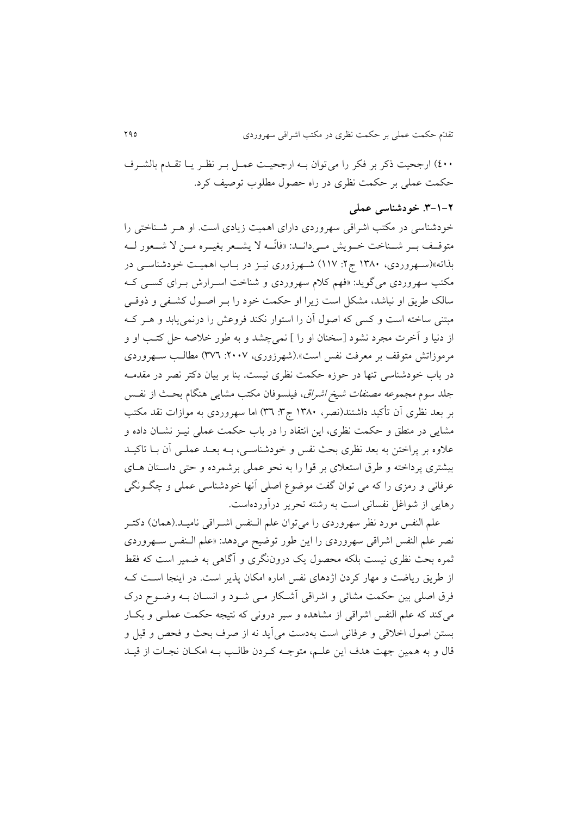٤٠٠) ارجحیت ذکر بر فکر را می توان بـه ارجحیـت عمـل بـر نظـر يـا تقـدم بالشـرف حکمت عملی بر حکمت نظری در راه حصول مطلوب توصیف کرد.

#### **.9-0-3 خودشناسی عملی**

خودشناسی در مکتب اشراقی سهروردی دارای اهمیت زیادی است. او هـر شـناختی را متوقـف بـر شـناخت خـویش مـیcانـد: «فانّـه لا يشـعر بغيـره مـن لا شـعور لــه بذاته«)سوهروردی، 0981 ج:4 002أ شوهرزوری نیوز در بواب اهمیوت خودش اسوی در مکتب سهروردی میگوید: «فهم کلام سهروردی و شناخت اسـرارش بـرای کسـی کـه سالک طريق او نباشد، مشکل است زيرا او حکمت خود را بـر اصـول کشـفي و ذوقـي مبتنی ساخته است و کسی که اصول آن را استوار نکند فروعش را درنمی یابد و هـر کـه از دنیا و آخرت مجرد نشود [سخنان او را ] نمیچشد و به طور خلاصه حل کتب او و مرموزاتش متوقف بر معرفت نفس است».(شهرزوری، ۲۰۰۷: ۳۷٦) مطالب سـهروردی در باب خودشناسی تنها در حوزه حکمت نظری نیست. بنا بر بیان دکتر نصر در مقدمــه جلد سوم *مجموعه مصنفات شیخ اشراق*، فیلسوفان مکتب مشای<sub>ع</sub> هنگام بحث از نفـس بر بعد نظری آن تأکید داشتند(نصر، ۱۳۸۰ ج۳: ۳۹) اما سهروردی به موازات نقد مکتب مشايی در منطق و حکمت نظری، اين انتقاد را در باب حکمت عملی نیــز نشــان داده و علاوه بر پراختن به بعد نظری بحث نفس و خودشناسـی، بـه بعـد عملـی آن بـا تاکیـد بیشتری پرداخته و طرق استعلای بر قوا را به نحو عملی برشمرده و حتی داستان های عرفانی و رمزی را که می توان گفت موضوع اصلی آنها خودشناسی عملی و چگـونگی رهايی از شواغل نفسانی است به رشته تحرير درآوردهاست.

علم النفس مورد نظر سهروردی را میتوان علم الـنفس اشـراقی نامیـد.(همان) دکتـر نصر علم النفس اشراقی سهروردی را اين طور توضيح میدهد: «علم البنفس سـهروردی ثمره بحث نظری نیست بلکه محصول يک دروننگری و آگاهی به ضمیر است که تقط از طريق رياضت و مهار كردن اژدهای نفس اماره امکان پذير است. در اينجا است کـه فرق اصلی بین حکمت مشائی و اشراقی آشکار مـی شـود و انسـان بـه وضـوح درک میکند که علم النفس اشراقی از مشاهده و سیر درونی که نتیجه حکمت عملـی و بکـار بستن اصول اخلاقی و عرفانی است بهدست می آيد نه از صرف بحث و فحص و قيل و قال و به همین جهت هدف این علـم، متوجـه کـردن طالـب بــه امکـان نجـات از قیــد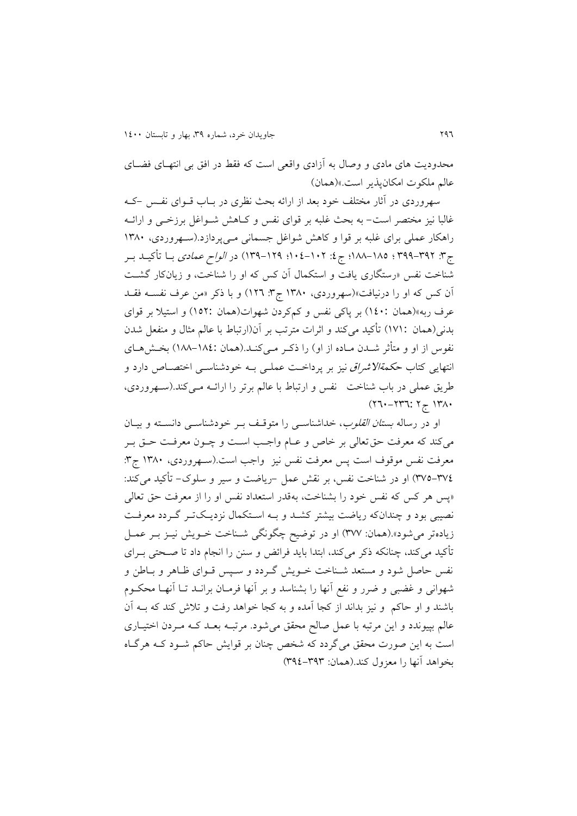محدودیت های مادی و وصال به آزادی واقعی است که فقط در افق بی انتهـای فضــای عالم ملکوت امکانپذير است.«)همانأ

سهروردی در آثار مختلف خود بعد از ارائه بحث نظری در بـاب قــوای نفــس -کــه غالبا نیز مختصر است- به بحث غلبه بر قوای نفس و کـاهش شــواغل برزخــی و ارائــه راهکار عملی برای غلبه بر قوا و کاهش شواغل جسمانی میپردازد.(سهروردی، ۱۳۸۰ ج": ٣٩٦-٣٩٩ ؛ ١٨٥-١٨٨؛ ج٤: ١٠٢-١٠٤؛ ١٣٩-١٣٩) در *الواح عمادی* بــا تأکیــلـ بــر شناخت نفس «رستگاری يافت و استکمال آن کس که او را شناخت، و زيانکار گشت آن کس که او را درنیاتت«)سهروردی، 0981 ج:9 042أ و با رکر »من عرف ن سوه تقود عرف ربه»(همان :١٤٠) بر پاکی نفس و کمکردن شهوات(همان :١٥٢) و استیلا بر قوای بدنی(همان ١٧١:) تأکید میکند و اثرات مترتب بر آن(ارتباط با عالم مثال و منفعل شدن نفوس از او و متأثر شــدن مــاده از او) را ذکـر مــیکنــد.(همان :١٨٤-١٨٨) بخــشهــای انتهايی کتاب *حکمةالاشراق* نیز بر پرداخت عملـی بـه خودشناسـی اختصـاص دارد و طريق عملي در باب شناخت نفس و ارتباط با عالم برتر را ارائـه مـي کند.(سـهروردي،  $(77 - 777)$ :  $7 - 171$ .

او در رساله *بستان القلوب*، خداشناسـی را متوقـف بـر خودشناســی دانســته و بیــان میکند که معرفت حق تعالی بر خاص و عـام واجـب اسـت و چـون معرفـت حـق بـر معرفت نفس موقوف است پس معرفت نفس نیز واجب است.(سـهروردی، ۱۳۸۰ ج۳: ٣٧٤-٣٧٥) او در شناخت نفس، بر نقش عمل –رياضت و سير و سلوک– تأکيد میکند: «پس هر کس که نفس خود را بشناخت، بهقدر استعداد نفس او را از معرفت حق تعالی نصیبی بود و چندانکه ریاضت بیشتر کشـد و بـه اسـتکمال نزديـکتـر گـردد معرفـت زيادهتر میشود».(همان: ٣٧٧) او در توضيح چگونگی شـناخت خـويش نيـز بـر عمـل تأکید میکند، چنانکه ذکر میکند، ابتدا باید فرائض و سنن را انجام داد تا صـحتی بــرای نفس حاصل شود و مستعد شـناخت خــويش گــردد و ســپس قــوای ظــاهر و بــاطن و شهوانی و غضبی و ضرر و نفع آنها را بشناسد و بر آنها فرمـان برانــد تـا آنهـا محکــوم باشند و او حاکم و نیز بداند از کجا آمده و به کجا خواهد رفت و تلاش کند که بـه آن عالم بپیوندد و این مرتبه با عمل صالح محقق میشود. مرتب بعد ک مردن اختیاری است به اين صورت محقق می گردد که شخص چنان بر قوايش حاکم شـود کـه هرگـاه بخواهد آنها را معزول کند.(همان: ۳۹۲–۳۹٤)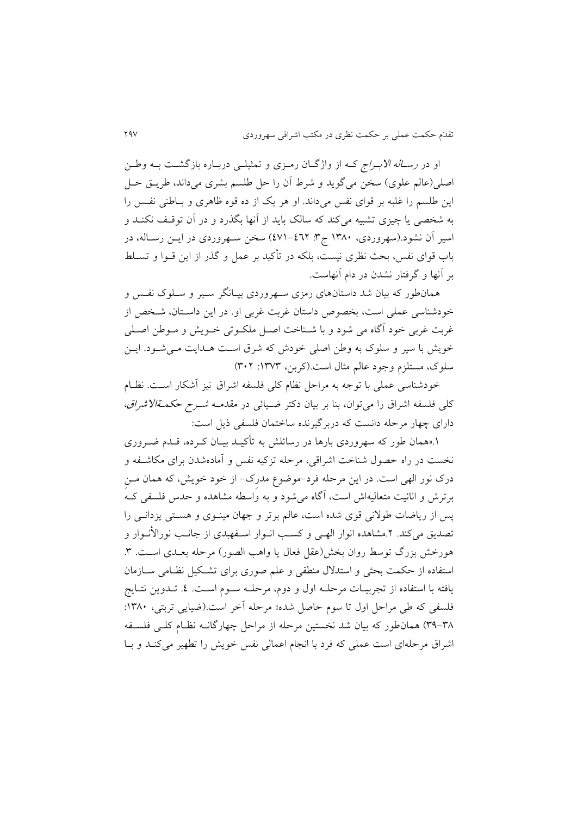او در *رســاله الابــراج* کــه از واژگــان رمــزی و تمثیلــی دربــاره بازگشــت بــه وطــن اصلی(عالم علوی) سخن میگويد و شرط آن را حل طلسم بشری میداند، طريـق حـل اين طلسم را غلبه بر قوای نفس میداند. او هر يک از ده قوه ظاهری و بـاطنی نفـس را به شخصی يا چیزی تشبیه میکند که سالک بايد از آنها بگذرد و در آن توقـف نکنـد و اسیر آن نشود.(سهروردی، ۱۳۸۰ ج۳: ٤٧١–٤٧١) سخن سهروردی در ايـن رسـاله، در باب قوای نفس، بحث نظری نیست، بلکه در تأکید بر عمل و گذر از این قــوا و تســلط بر آنها و گرتتار نشدن در دام آنهاست.

همانطور که بیان شد داستانهای رمزی سـهروردی بیـانگر سـیر و سـلوک نفـس و خودشناسی عملی است، بخصوص داستان غربت غربی او. در این داستان، شخص از غربت غربی خود آگاه می شود و با شـناخت اصـل ملکـوتی خـویش و مـوطن اصـلی خويش با سير و سلوک به وطن اصلي خودش که شرق است هـدايت مـي شـود. ايـن سلوک، مستلزم وجود عالم مثال است.)کربن، :0929 914أ

خودشناسی عملی با توجه به مراحل نظام کلی فلسفه اشراق نیز آشکار اسـت. نظـام کلی فلسفه اشراق را میتوان، بنا بر بیان دکتر ضـیائی در مقدمـه *شـرح حکمـةالاشراق*، دارای چهار مرحله دانست که دربر گیرنده ساختمان فلسفی ذیل است:

۱.«همان طور که سهروردی بارها در رسائلش به تأکیـد بیـان کـرده، قـدم ضـروری نخست در راه حصول شناخت اشراقی، مرحله تزکیه نفس و آمادهشدن برای مکاشـفه و درک نور الهی است. در اين مرحله فرد-موضوع مدرک- از خود خويش، که همان مـن برترش و انائیت متعالیهاش است، آگاه می شود و به واسطه مشاهده و حدس فلسفی ک پس از رياضات طولانی قوی شده است، عالم برتر و جهان مينـوی و هسـتی يزدانـی را تصديق میکند. ۲.مشاهده انوار الهـی و کسـب انـوار اسـفهبدی از جانـب نورالأنـوار و هورخش بزرگ توسط روان بخش(عقل فعال يا واهب الصور) مرحله بعـدی اسـت. ٣. استفاده از حکمت بحثی و استدلال منطقی و علم صوری برای تشکیل نظـامی ســازمان يافته با استفاده از تجربيـات مرحلــه اول و دوم، مرحلــه ســوم اســت. ٤. تــدوين نتــايج فلسفی که طی مراحل اول تا سوم حاصل شده» مرحله آخر است.(ضیایی تربتی، ۱۳۸۰: ۳۸-۳۹) همان طور که بیان شد نخستین مرحله از مراحل چهارگانـه نظـام کلـی فلسـفه اشراق مرحلهای است عملی که فرد با انجام اعمالی نفس خویش را تطهیر می کنـد و بـا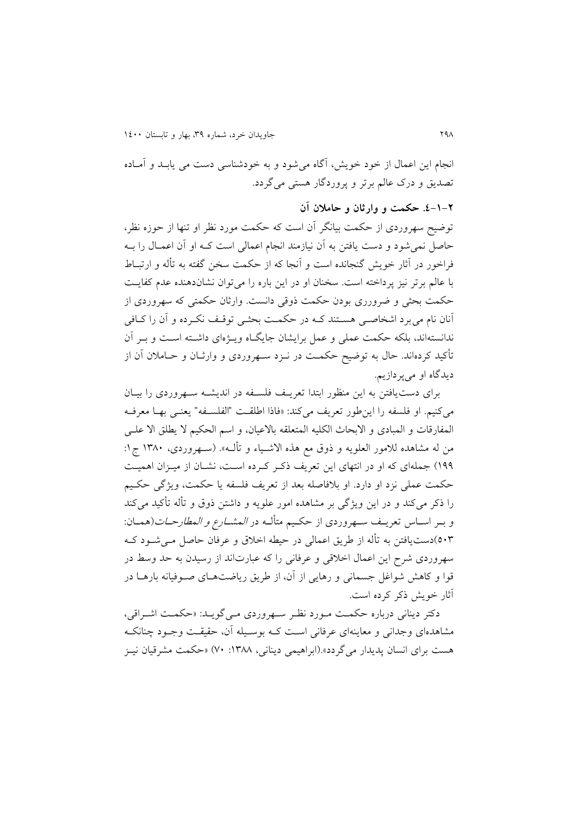انجام اين اعمال از خود خويش، آگاه می شود و به خودشناسی دست می يابـد و آمـاده تصديق و درک عالم برتر و پروردگار هستی میگردد.

**.0-0-3 حکمت و وارثان و حامالن آن**

توضیح سهروردی از حکمت بیانگر آن است که حکمت مورد نظر او تنها از حوزه نظر، حاصل نمی شود و دست يافتن به آن نيازمند انجام اعمالی است کـه او آن اعمـال را بــه فراخور در آثار خويش گنجانده است و آنجا که از حکمت سخن گفته به تأله و ارتبـاط با عالم برتر نیز پرداخته است. سخنان او در این باره را می توان نشاندهنده عدم کفایت حکمت بحثی و ضرورری بودن حکمت روقی دانست. وارثان حکمتی که سهروردی از آنان نام میبرد اشخاصی هستند کـه در حکمـت بحثـی توقـف نکـرده و آن را کـافی ندانستهاند، بلکه حکمت عملی و عمل برايشان جايگـاه ويـژهای داشـته اسـت و بـر آن تأکید کردهاند. حال به توضیح حکمت در نــزد ســهروردی و وارثــان و حــاملان آن از ديدگاه او میپردازيم.

برای دست یافتن به اين منظور ابتدا تعريـف فلسـفه در انديشـه سـهروردی را بيـان می کنيم. او فلسفه را اين طور تعريف می کند: «فاذا اطلقت "الفلسـفه" يعنـی بهـا معرفـه المفارقات و المبادی و الابحاث الکلیه المتعلقه بالاعیان، و اسم الحکیم لا يطلق الا علـی من له مشاهده للامور العلويه و ذوق مع هذه الاشـياء و تألـه». (سـهروردی، ۱۳۸۰ ج۱: ١٩٩) جملهای که او در انتهای اين تعريف ذکر کرده است، نشـان از ميـزان اهميـت حکمت عملی نزد او دارد. او بلافاصله بعد از تعريف فلسفه يا حکمت، ويژگی حکيم را ذکر میکند و در اين ويژگی بر مشاهده امور علويه و داشتن ذوق و تأله تأکید میکند و بـر اسـاس تعريــف ســهروردي از حکـيم متألــه در *المشــارع و المطارحــات*(همــان: ٥٠٣)دستيافتن به تأله از طريق اعمالی در حیطه اخلاق و عرفان حاصل مـیشــود کــه سهروردی شرح اين اعمال اخلاقی و عرفانی را که عبارتاند از رسیدن به حد وسط در قوا و کاهش شواغل جسمانی و رهايی از آن، از طريق رياضتهای صوفيانه بارهـا در آثار خويش ذکر کرده است.

دکتر ديناني درباره حکمت مورد نظر سهروردي مي گويد: «حکمت اشراقي، مشاهدهای وجدانی و معاينهای عرفانی است کـه بوسـيله آن، حقیقـت وجـود چنانکـه هست برای انسان پديدار میگردد».(ابراهیمی دينانی، ١٣٨٨: ٧٠) «حکمت مشرقیان نيـز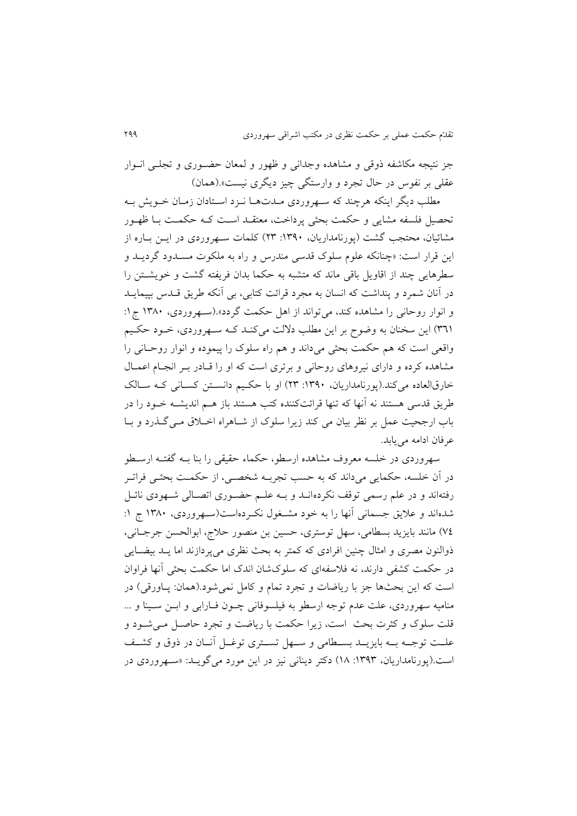جز نتیجه مکاشفه ذوقی و مشاهده وجدانی و ظهور و لمعان حضـوری و تجلـبی انـوار عقلی بر نفوس در حال تجرد و وارستگی چیز دیگری نیست».(همان)

مطلب ديگر اينکه هرچند که سهروردي مـدتهـا نـزد اسـتادان زمـان خــويش بــه تحصیل فلسفه مشایی و حکمت بحثی پرداخت، معتقبد است ک4 حکمت ببا ظهـور مشائیان، محتجب گشت (پورنامداریان، ١٣٩٠: ٢٣) کلمات سـهروردی در ايــن بــاره از اين قرار است: «چنانکه علوم سلوک قدسی مندرس و راه به ملکوت مسـدود گرديــد و سطرهايی چند از اقاويل باقی ماند که متشبه به حکما بدان فريفته گشت و خويشــتن را در آنان شمرد و پنداشت که انسان به مجرد قرائت کتابی، بی آنکه طریق قـدس بپیمایـد و انوار روحانی را مشاهده کند، میتواند از اهل حکمت گردد».(سهروردی، ۱۳۸۰ ج1: ٣٦١) اين سخنان به وضوح بر اين مطلب دلالت میکند که سهروردی، خود حکيم واقعی است که هم حکمت بحثی میداند و هم راه سلوک را پیموده و انوار روحوانی را مشاهده کرده و دارای نیروهای روحانی و برتری است که او را قبادر ببر انجبام اعمیال خارقالعاده میکند.(پورنامداريان، ١٣٩٠: ٢٣) او با حکيم دانستن کسانی که سالک طريق قدسی هستند نه آنها که تنها قرائتکننده کتب هستند باز هـم انديشــه خــود را در باب ارجحیت عمل بر نظر بیان می کند زیرا سلوک از شـاهراه اخـلاق مـی گـذرد و بـا عرفان ادامه می بابد.

سهروردی در خلسه معروف مشاهده ارسطو، حکماء حقیقی را بنا بــه گفتــه ارسـطو در آن خلسه، حکمايی میداند که به حسب تجربـه شخصـی، از حکمـت بحثـی فراتـر رفتهاند و در علم رسمی توقف نکردهانـد و بـه علـم حضـوری اتصـالی شـهودی نائـل شدهاند و علایق جسمانی آنها را به خود مشـغول نکـردهاست(سـهروردی، ۱۳۸۰ ج ۱: ٧٤) مانند بايزيد بسطامي، سهل توستري، حسين بن منصور حلاج، ابوالحسن جرجـاني، ذوالنون مصری و امثال چنین افرادی که کمتر به بحث نظری می پردازند اما يـد بیضـايی در حکمت کشفی دارند، نه فلاسفهای که سلوکشان اندک اما حکمت بحثی آنها فراوان است که اين بحثها جز با رياضات و تجرد تمام و کامل نمی شود.(همان: پـاورقی) در منامیه سهروردی، علت عدم توجه ارسطو به فیلسوفانی چـون فـارابی و ابـن سـینا و ... قلت سلوک و کثرت بحث است، زيرا حکمت با رياضت و تجرد حاصـل مـیشـود و علـت توجـه بــه بايزيــد بســطامی و ســهل تســتری توغــل آنــان در ذوق و کشــف است.(پورنامداريان، ١٣٩٣: ١٨) دکتر ديناني نيز در اين مورد مي گويـد: «سـهروردي در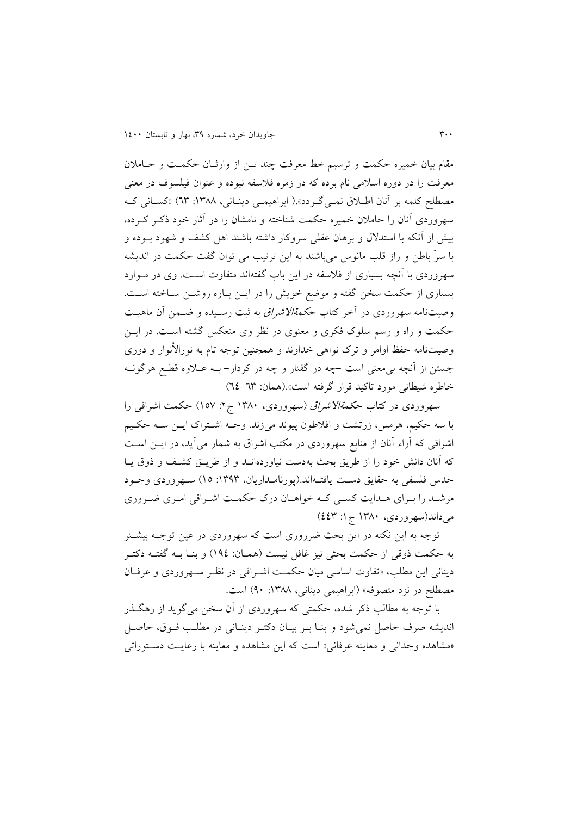مقام بیان خمیره حکمت و ترسیم خط معرفت چند تـن از وارثـان حکمـت و حـاملان معرفت را در دوره اسلامی نام برده که در زمره فلاسفه نبوده و عنوان فیلسوف در معنی مصطلح کلمه بر آنان اطلاق نمبی گردد».( ابراهیمبی دینانی، ۱۳۸۸: ٦٣) «کسانی ک سهروردی آنان را حاملان خمیره حکمت شناخته و نامشان را در آثار خود ذکر کرده، بیش از آنکه با استدلال و برهان عقلی سروکار داشته باشند اهل کشف و شهود بــوده و با سرّ باطن و راز قلب مانوس میباشند به اين ترتيب می توان گفت حکمت در انديشه سهروردی با آنچه بسیاری از فلاسفه در اين باب گفتهاند متفاوت است. وی در مـوارد بسیاری از حکمت سخن گفته و موضع خویش را در ایـن بـاره روشـن سـاخته اسـت. وصیتنامه سهروردی در آخر کتاب ح*کمةالاشراق ب*ه ثبت رسـیده و ضـمن آن ماهیـت حکمت و راه و رسم سلوک فکری و معنوی در نظر وی منعکس گشته است. در ايس وصیتنامه حفظ اوامر و ترک نواهی خداوند و همچنین توجه تام به نورالأنوار و دوری جستن از آنچه بی معنی است –چه در گفتار و چه در کردار– بــه عــلاوه قطــع هرگونــه خاطره شیطانی مورد تاکید قرار گرتته است«.)همان: 22-29أ

سهروردی در کتاب *حکمةالاشراق (سهروردی، ۱۳۸۰ ج*۲: ۱۵۷) حکمت اشراقی را با سه حکیم، هرمس، زرتشت و اتالطون پیوند میزند. وجوه اشوتراک ايون سوه حکویم اشراقی که آراء آنان از منابع سهروردی در مکتب اشراق به شمار میآید، در ایـن اسـت که آنان دانش خود را از طريق بحث بهدست نياوردهانـد و از طريــق کشـف و ذوق يــا حدس فلسفی به حقايق دست يافتـهاند.(پورنامـداريان، ١٣٩٣: ١٥) سـهروردی وجـود مرشـد را بـرای هـدايت کسـی کـه خواهـان درک حکمـت اشـراقی امـری ضـروری می داند(سهروردی، ۱۳۸۰ ج ۱: ٤٤٣)

توجه به اين نکته در اين بحث ضرروری است که سهروردی در عین توجـه بیشـتر به حکمت ذوقی از حکمت بحثی نیز غافل نیست (همـان: ١٩٤) و بنــا بــه گفتــه دکتــر دینانی این مطلب، «تفاوت اساسی میان حکمت اشراقی در نظر سهروردی و عرفان مصطلح در نزد متصوفه» (ابراهیمی دینانی، ۱۳۸۸: ۹۰) است.

با توجه به مطالب رکر شده، حکمتی که سهروردی از آن سخن میگويد از رهگوذر انديشه صرف حاصل نمی شود و بنـا بـر بيـان دکتـر دينـانی در مطلـب فـوق، حاصـل «مشاهده وجدانی و معاينه عرفاني» است كه اين مشاهده و معاينه با رعايت دستوراتی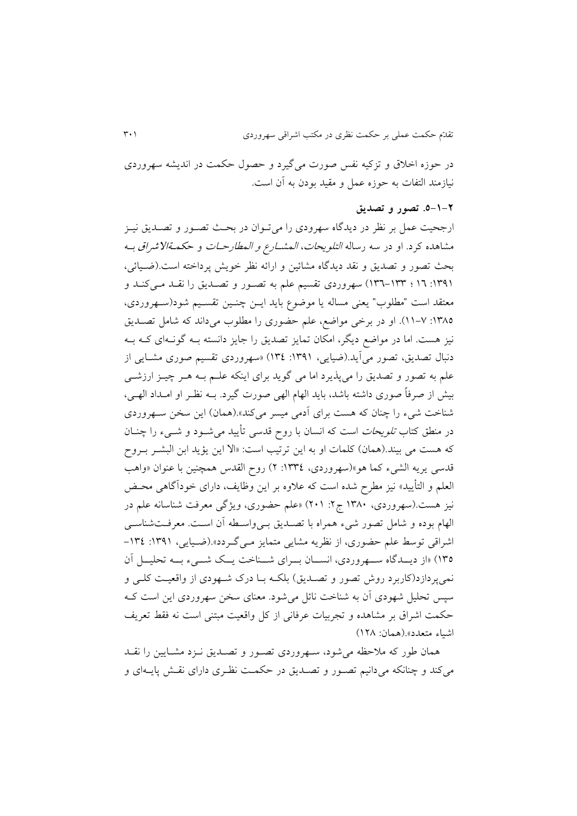در حوزه اخلاق و تزکیه نفس صورت می گیرد و حصول حکمت در اندیشه سهروردی نیازمند التفات به حوزه عمل و مقید بودن به آن است.

## **.5-0-3 تصور و تصدیق**

ارجحیت عمل بر نظر در ديدگاه سهرودی را میتووان در بحوث تصوور و تصوديق نیوز مشاهده کرد. او در سه رساله *التلويحات، المشــارع و المطارحــات* و ح*کمــةالاشراق بــ*ه بحث تصور و تصديق و نقد ديدگاه مشائین و ارائه نظر خوي پرداخته است.)ضویائی، :1٣٩ : ١٣٦-١٣٣) سهروردی تقسیم علم به تصور و تصدیق را نقلد می کنـد و معتقد است "مطلوب" يعني مساله يا موضوع بايد ايـن چنـين تقسـيم شود(سـهروردی، :0982 00-2أ. او در برخی مواضع، علم حضوری را مطلوب میداند که شامل تصوديق نیز هست. اما در مواضع ديگر، امکان تمايز تصديق را جايز دانسته بـه گونـهای کـه بـه دنبال تصديق، تصور میآيد.(ضيايی، ١٣٩١: ١٣٤) «سهروردی تقسيم صوری مشـايی از علم به تصور و تصديق را میپذيرد اما می گويد برای اينکه علـم بـه هـر چيـز ارزشــی بیش از صرفاً صوری داشته باشد، بايد الهام الهی صورت گیرد. بــه نظـر او امــداد الهــی، شناخت شیء را چنان که هست برای آدمی میسر میکند».(همان) این سخن سـهروردی در منطق کتاب *تلويحات* است که انسان با روح قدسی تأييد می شـود و شــیء را چنــان که هست می بیند.(همان) کلمات او به اين ترتیب است: «الا اين يؤيد ابن البشـر بـروح قدسی يريه الشيء کما هو»(سهروردی، ١٣٣٤: ٢) روح القدس همچنين با عنوان «واهب العلم و التأييد» نيز مطرح شده است که علاوه بر اين وظايف، دارای خودآگاهی محـض نیز هست.(سهروردی، ۱۳۸۰ ج۲: ۲۰۱) «علم حضوری، ویژگی معرفت شناسانه علم در الهام بوده و شامل تصور شیء همراه با تصدیق بےواسطه آن است. معرفتشناسی اشراقی توسط علم حضوری، از نظریه مشایی متمایز می گـردد».(ضـیایی، ۱۳۹۱: ۱۳۶٤-092أ »از ديوودگاه سووهروردی، انسووان بوورای شوو اخت يووک شوویء بووه تحلیوول آن نمی پر دازد(کاربرد روش تصور و تصـديق) بلکـه بــا درک شــهودی از واقعیــت کلــی و سپس تحلیل شهودی آن به شناخت نائل می شود. معنای سخن سهروردی این است ک حکمت اشراق بر مشاهده و تجربیات عرفانی از کل واقعیت مبتنی است نه فقط تعریف اشیاء متعدد«.)همان: 048أ

همان طور که ملاحظه می شود، سـهروردی تصـور و تصـديق نـزد مشـايين را نقـد می کند و چنانکه می دانیم تصور و تصدیق در حکمت نظری دارای نقش پایـهای و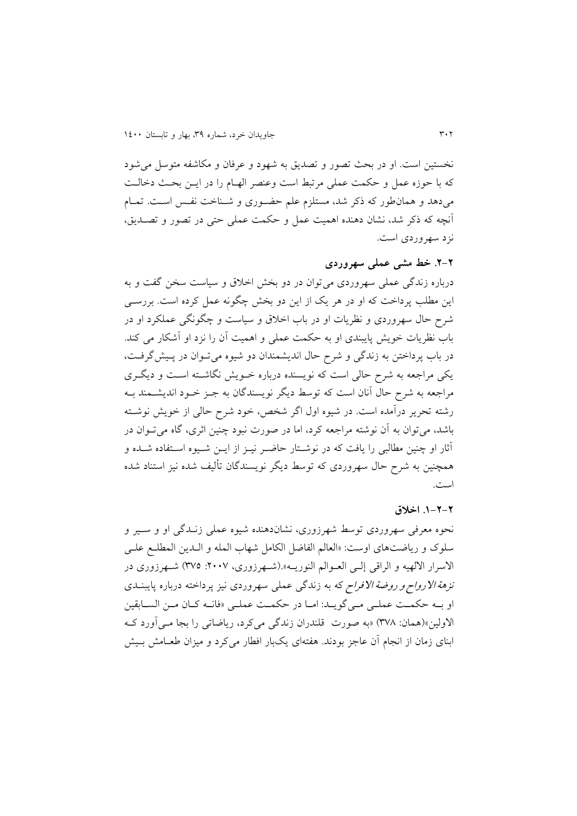نخستین است. او در بحث تصور و تصدیق به شهود و عرفان و مکاشفه متوسل می شود که با حوزه عمل و حکمت عملی مرتبط است وعنصر الهـام را در ايــن بحـث دخالـت میدهد و همان طور که ذکر شد، مستلزم علم حضوری و شـناخت نفس اسـت. تمـام آنچه که ذکر شد، نشان دهنده اهمیت عمل و حکمت عملی حتی در تصور و تصـدیق، نزد سهروردی است.

## **.3-3 خط مشی عملی سهروردی**

درباره زندگی عملی سهروردی می توان در دو بخش اخلاق و سیاست سخن گفت و به اين مطلب پرداخت که او در هر يک از اين دو بخش چگونه عمل کرده است. بررسـي شر حال سهروردی و نظريات او در باب اخالق و سیاست و چگونگی عملکرد او در باب نظريات خويش پايبندي او به حکمت عملی و اهميت آن را نزد او آشکار می کند. در باب پرداختن به زندگی و شرح حال اندیشمندان دو شیوه میتوان در پـیشگرفـت، يکی مراجعه به شرح حالی است که نويسنده درباره خـويش نگاشــته اســت و ديگــری مراجعه به شرح حال آنان است که توسط ديگر نويسندگان به جـز خــود انديشــمند بــه رشته تحرير درآمده است. در شيوه اول اگر شخص، خود شرح حالي از خويش نوشـته باشد، می توان به آن نوشته مراجعه کرد، اما در صورت نبود چنین اثری، گاه می توان در آثار او چنین مطالبی را یافت که در نوشـتار حاضـر نیــز از ایــن شــیوه اســتفاده شــده و همچنین به شرح حال سهروردی که توسط دیگر نویسندگان تألیف شده نیز استناد شده است.

#### **.0-3-3 اخالق**

نحوه معرفی سهروردی توسط شهرزوری، نشاندهنده شیوه عملی زنـدگی او و سـیر و سلوک و رياضتهای اوست: «العالم الفاضل الکامل شهاب المله و الـدين المطلـع علـی الاسرار الالهیه و الراقی إلـی العــوالم النوریــه».(شــهرزوری، ۲۰۰۷: ۳۷۵) شــهرزوری در نز*هة الارواح و روضة الافراح* که به زندگی عملی سهروردی نیز پرداخته درباره پایبنــدی او به حکمت عملی میگوید: اما در حکمت عملی «فانه کان من السابقین الاولین»(همان: ٣٧٨) «به صورت قلندران زندگی میکرد، ریاضاتی را بجا مـی آورد کـه ابنای زمان از انجام آن عاجز بودند. هفتهای یکبار افطار میکرد و میزان طعـامش بـیش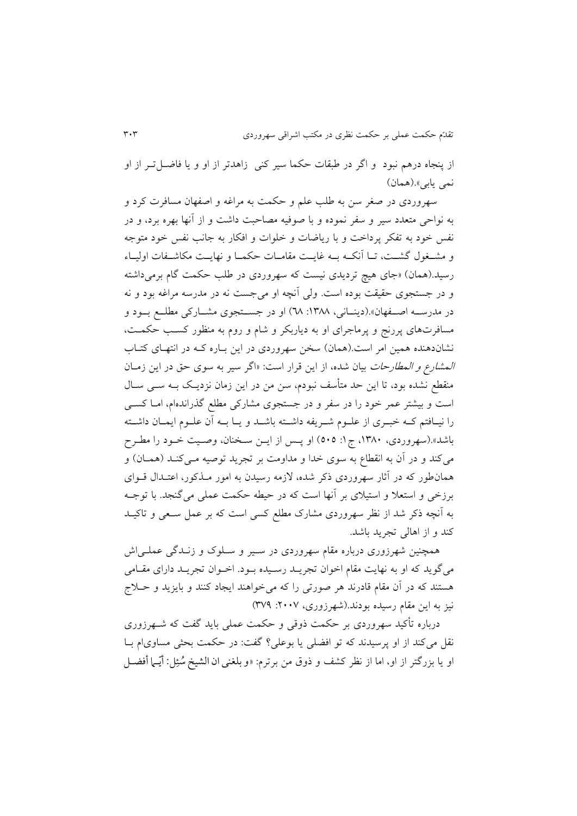از پنجاه درهم نبود و اگر در طبقات حکما سیر کنی زاهدتر از او و یا فاضـل تـر از او نمی يابي».(همان)

سهروردی در صغر سن به طلب علم و حکمت به مراغه و اصفهان مسافرت کرد و به نواحی متعدد سیر و سفر نموده و با صوفیه مصاحبت داشت و از آنها بهره برد، و در نفس خود به تفکر پرداخت و با رياضات و خلوات و افکار به جانب نفس خود متوجه و مشغول گشت، تــا آنکــه بــه غايــت مقامــات حکمــا و نهايــت مکاشــفات اوليــاء رسید.(همان) «جای هیچ تردیدی نیست که سهروردی در طلب حکمت گام برمیداشته و در جستجوی حقیقت بوده است. ولی آنچه او میجست نه در مدرسه مرایه بود و نه در مدرسه اصفهان».(دينـانی، ١٣٨٨: ٦٨) او در جسـتجوی مشـارکی مطلـع بـود و مسافرتهای پررنج و پرماجرای او به دیاربکر و شام و روم به منظور کسب حکمت، نشاندهنده همین امر است.(همان) سخن سهروردی در این بـاره کـه در انتهـای کتـاب المشارع و المطارحات بيان شده، از اين قرار است: «اگر سير به سوی حق در اين زمـان منقطع نشده بود، تا اين حد متأسف نبودم، سن من در اين زمان نزديـک بــه ســي ســال است و بیشتر عمر خود را در سفر و در جستجوی مشارکی مطلع گذراندهام، امـا کســی را نيـافتم کـه خبـری از علــوم شــريفه داشــته باشــد و يــا بــه آن علــوم ايمــان داشــته باشد».(سهروردی، ۱۳۸۰، ج۱: ٥٠٥) او پس از ايـن سـخنان، وصـيت خـود را مطـرح میکند و در آن به انقطاع به سوی خدا و مداومت بر تجرید توصیه مـیکنـد (همـان) و همانطور که در آثار سهروردی ذکر شده، لازمه رسیدن به امور مـذکور، اعتـدال قــوای برزخی و استعلا و استیلای بر آنها است که در حیطه حکمت عملی می گنجد. با توجـه به آنچه ذکر شد از نظر سهروردی مشارک مطلع کسی است که بر عمل سعی و تاکیـد کند و از اهالی تجرید باشد.

همچنین شهرزوری درباره مقام سهروردی در سـیر و سـلوک و زنــدگی عملــی|ش میگويد که او به نهايت مقام اخوان تجريـد رسـيده بـود. اخـوان تجريـد دارای مقـامی هستند که در آن مقام قادرند هر صورتی را که میخواهند ایجاد کنند و بایزید و حــلاج نیز به این مقام رسیده بودند.(شهرزوری، ۲۰۰۷: ۳۷۹)

درباره تأکید سهروردی بر حکمت ذوقی و حکمت عملی باید گفت که شــهرزوری نقل میکند از او پرسیدند که تو افضلی یا بوعلی؟ گفت: در حکمت بحثی مساوی|م بـا ّو يا بزرگتر از او، اما از نظر کشف و ذوق من برترم: «و بلغنی ان الشيخ سُئِل: أيّــها أفضــل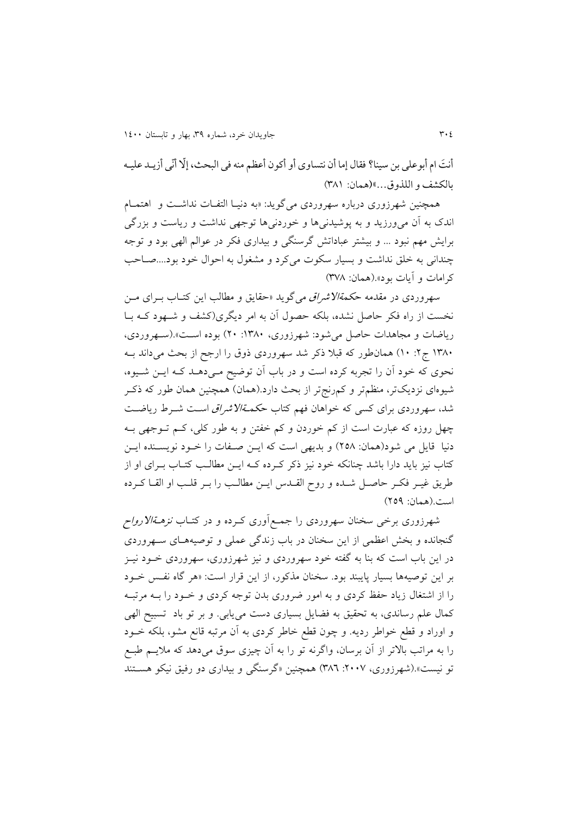أنتَ ام أبو علی بن سینا؟ فقال إما أن نتساوی أو أکو ن أعظم منه فی البحث، إلّا أنّی أزیـد علیـه بالکشف و اللذوق...«)همان: 980أ

همچنين شهرزوری درباره سهروردی میگويد: «به دنيا التفات نداشت و اهتمام اندک به آن میورزيد و به پوشیدنیها و خوردنیها توجهی نداشت و رياست و بزرگی برايش مهم نبود ... و بيشتر عباداتش گرسنگي و بيداري فکر در عوالم الهي بود و توجه چندانی به خلق نداشت و بسیار سکوت میکرد و مشغول به احوال خود بود....صـاحب کرامات و آيات بود«.)همان: 928أ

سهروردی در مقدمه ح*کمةالاشراق می گويد «حقايق و مطالب اين کتــاب بــرای مــن* نخست از راه فکر حاصل نشده، بلکه حصول آن به امر دیگری(کشف و شـهود کـه بـا رياضات و مجاهدات حاصل می شود: شهرزوری، ۱۳۸۰: ۲۰) بوده است».(سـهروردی، ١٣٨٠ ج٢: ١٠) همانطور که قبلا ذکر شد سهروردی ذوق را ارجح از بحث میداند بـه نحوی که خود آن را تجربه کرده است و در باب آن توضیح مـیدهـد کـه ايـن شـيوه، شیوهای نزدیکتر، منظمتر و کمرنجتر از بحث دارد.(همان) همچنین همان طور که ذکـر شد، سهروردی برای کسی که خواهان فهم کتاب ح*کمةالاشراق اس*ت شـرط رياضـت چهل روزه که عبارت است از کم خوردن و کم خفتن و به طور کلی، کـم تــوجهی بــه دنیا قايل می شود(همان: ٢٥٨) و بديهی است که ايـن صـفات را خـود نويسـنده ايـن کتاب نیز باید دارا باشد چنانکه خود نیز ذکر کـرده کـه ايــن مطالـب کتـاب بــرای او از طريق غيـر فكـر حاصـل شـده و روح القـدس ايـن مطالـب را بـر قلـب او القـا كـرده است.)همان: 423أ

شهرزوری برخی سخنان سهروردی را جمع[وری کـرده و در کتـاب *نزهـةالارواح* گنجانده و بخش اعظمی از اين سخنان در باب زندگی عملی و توصيههـای سـهروردی در اين باب است که بنا به گفته خود سهروردی و نيز شهرزوری، سهروردی خــود نيــز بر اين توصيهها بسيار پايبند بود. سخنان مذکور، از اين قرار است: «هر گاه نفس خـود را از اشتغال زياد حفظ کردی و به امور ضروری بدن توجه کردی و خـود را بــه مرتبــه کمال علم رساندی، به تحقیق به فضایل بسیاری دست می یابی. و بر تو باد تسبیح الهی و اوراد و قطع خواطر رديه. و چون قطع خاطر کردی به آن مرتبه قانع مشو، بلکه خوود را به مراتب باالتر از آن برسان، واگرنه تو را به آن چیزی سوق میدهد که ماليوم طبوع تو نیست».(شهرزوری، ۲۰۰۷: ۳۸٦) همچنین «گرسنگی و بیداری دو رفیق نیکو هسـتند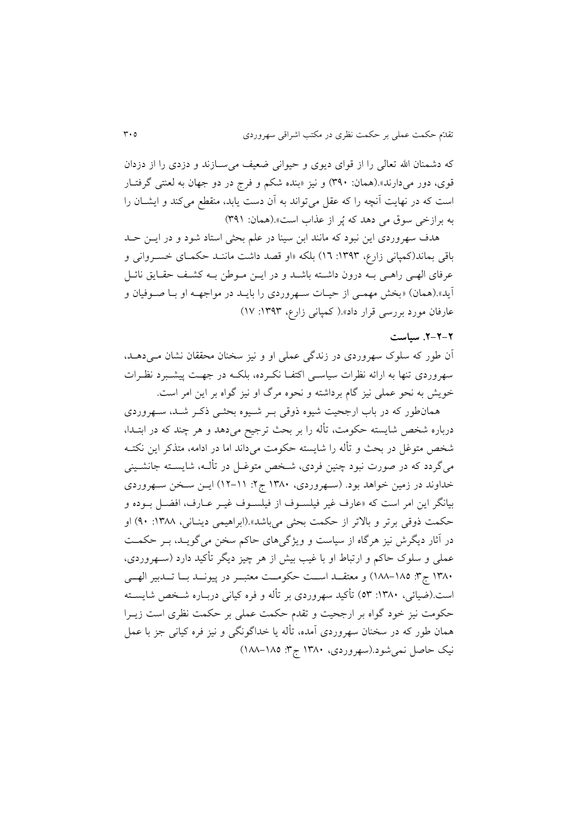که دشمنان الله تعالی را از قوای دیوی و حیوانی ضعیف می سـازند و دزدی را از دزدان قوی، دور میدارند».(همان: ۳۹۰) و نیز «بنده شکم و فرج در دو جهان به لعنتی گرفتـار است که در نهايت آنچه را که عقل میتواند به آن دست يابد، منقطع میکند و ايشـان را به برازخی سوق می دهد که پُر از عذاب است».(همان: ۳۹۱)

هدف سهروردی اين نبود که مانند ابن سينا در علم بحثی استاد شود و در ايس حـد باقی بماند(کمپانی زارع، ۱۳۹۳: ۱۲) بلکه «او قصد داشت ماننـد حکمـای خسـروانی و عرفای الهـی راهـی بـه درون داشـته باشـد و در ايــن مــوطن بــه کشـف حقـايق نائــل آيد».(همان) «بخش مهمـي از حيـات سـهروردي را بايـد در مواجهــه او بـا صـوفيان و عارفان مورد بررسی قرار داد».(كمپانی زارع، ١٣٩٣: ١٧)

#### **.3-3-3 سیاست**

آن طور که سلوک سهروردی در زندگی عملی او و نیز سخنان محققان نشان مـیدهــد، سهروردی تنها به ارائه نظرات سیاسبی اکتفـا نکـرده، بلکـه در جهـت پیشـبرد نظـرات خوي به نحو عملی نیز گام برداشته و نحوه مرگ او نیز گواه بر اين امر است.

همانطور که در باب ارجحیت شیوه ذوقی بـر شـیوه بحثـی ذکـر شـد، سـهروردی درباره شخص شايسته حکومت، تأله را بر بحث ترجیح میدهد و هر چند که در ابتــدا، شخص متوغل در بحث و تأله را شايسته حکومت میداند اما در ادامه، متذکر اين نکتــه میگردد که در صورت نبود چنین فردی، شـخص متوغـل در تألــه، شایســته جانشــینی خداوند در زمین خواهد بود. (سـهروردی، ۱۳۸۰ ج۲: ۱۱-۱۲) ایــن سـخن سـهروردی بیانگر این امر است که «عارف غیر فیلسـوف از فیلسـوف غیـر عـارف، افضـل بـوده و حکمت ذوقی برتر و بالاتر از حکمت بحثی میباشد».(ابراهیمی دینـانی، ۱۳۸۸: ۹۰) او در آثار ديگرش نيز هرگاه از سياست و ويژگیهای حاکم سخن میگويـد، بـر حکمـت عملی و سلوک حاکم و ارتباط او با غیب بیش از هر چیز دیگر تأکید دارد (سـهروردی، ١٣٨٠ ج٣: ١٨٥-١٨٨) و معتقــد اســت حکومــت معتبــر در پیونــد بــا تــدبیر الهـــی است.(ضیائی، ۱۳۸۰: ٥٣) تأکید سهروردی بر تأله و فره کیانی دربـاره شـخص شایسـته حکومت نیز خود گواه بر ارجحیت و تقدم حکمت عملی بر حکمت نظری است زيورا همان طور که در سخنان سهروردی آمده، تأله یا خداگونگی و نیز فره کیانی جز با عمل نیک حاصل نمیشود.(سهروردی، ۱۳۸۰ ج۳: ۱۸۵۵–۱۸۸)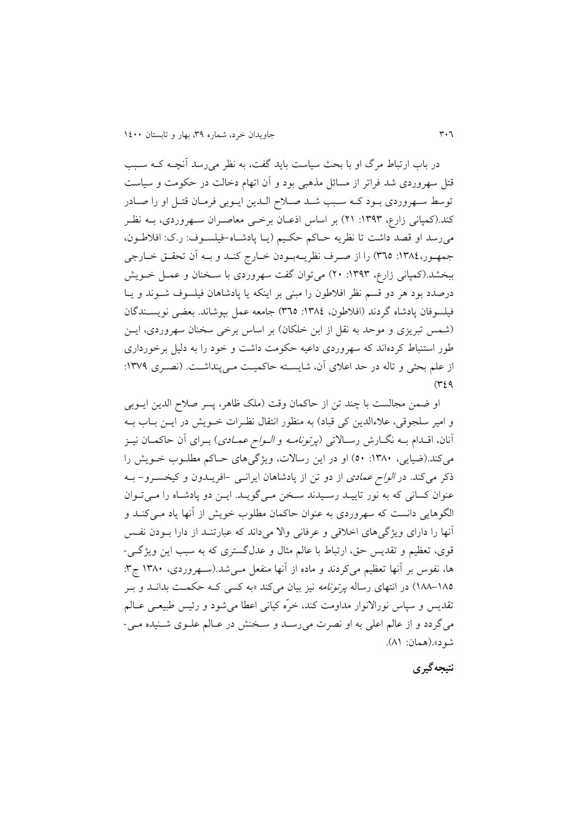در باب ارتباط مرگ او با بحث سیاست باید گفت، به نظر می رسد آنچـه کــه ســبب قتل سهروردی شد تراتر از مسائل مذهبی بود و آن اتهام دخالت در حکومت و سیاست توسط سهروردی بود کـه سـبب شـد صـلاح الـدين ايـوبي فرمـان قتـل او را صـادر کند.(کمپانی زارع، ۱۳۹۳: ۲۱) بر اساس اذعـان برخـی معاصـران سـهروردی، بــه نظـر می رسد او قصد داشت تا نظريه حـاکم حکـيم (يـا پادشـاه-فيلسـوف: ر.ک: افلاطـون، جمهور،١٣٨٤: ٣٦٥) را از صرف نظريــهبـودن خــارج کنــد و بــه اَن تحقــق خــارجي ببخشد.(کمپانی زارع، ۱۳۹۳: ۲۰) میتوان گفت سهروردی با سـخنان و عمـل خـویش درصدد بود هر دو قسم نظر افلاطون را مبنی بر اينکه يا پادشاهان فيلسوف شـوند و يـا فيلسوفان پادشاه گردند (افلاطون، ١٣٨٤: ٣٦٥) جامعه عمل بپوشاند. بعضی نويسـندگان (شمس تبريزی و موحد به نقل از ابن خلکان) بر اساس برخی سخنان سهروردی، ايـن طور استنباط کردهاند که سهروردی داعیه حکومت داشت و خود را به دلیل برخورداری از علم بحثی و تاله در حد اعلای آن، شایسته حاکمیت مـی پنداشـت. (نصـری ١٣٧٩:  $(729)$ 

او ضمن مجالست با چند تن از حاکمان وقت (ملک ظاهر، پسر صلاح الدين ايــوبی و امير سلجوقي، علاءالدين کي قباد) به منظور انتقال نظـرات خـويش در ايـن بـاب بــه آنان، اقــدام بــه نگــارش رســالاتی (*پرتونامــه و الــواح عمــادی*) بــرای آن حاکمــان نيــز میکند.(ضیایی، ۱۳۸۰: ۵۰) او در اين رسالات، ويژگیهای حـاکم مطلـوب خـويش را ذکر میکند. در *الواح عمادی* از دو تن از پادشاهان ايرانسی -افريـدون و کيخسـرو- بــه عنوان کسانی که به نور تاييد رسيدند سخن مىگويـد. ايـن دو پادشـاه را مـى تـوان الگوهايی دانست که سهروردی به عنوان حاکمان مطلوب خويش از آنها ياد مـي کنــد و آنها را دارای ويژگی های اخلاقی و عرفانی والا می داند که عبارتنـد از دارا بـودن نفـس قوی، تعظیم و تقديس حق، ارتباط با عالم مثال و عدلگستری که به سبب اين ويژگوی - ها، نفوس بر آنها تعظیم میکردند و ماده از آنها منفعل مـی شد.(سـهروردی، ۱۳۸۰ ج۳: ۱۸۵–۱۸۸) در انتهای رساله *پرتونامه* نیز بیان میکند «به کسی کـه حکمـت بدانــد و بــر تقديس و سپاس نورالانوار مداومت کند، خرّه کيانی اعطا می شود و رئيس طبیعـی عــالم میگردد و از عالم اعلی به او نصرت میرسد و سخنش در عـالم علـوی شـنیده مـی-شود».(همان: ۸۱).

**نتیجهگیری**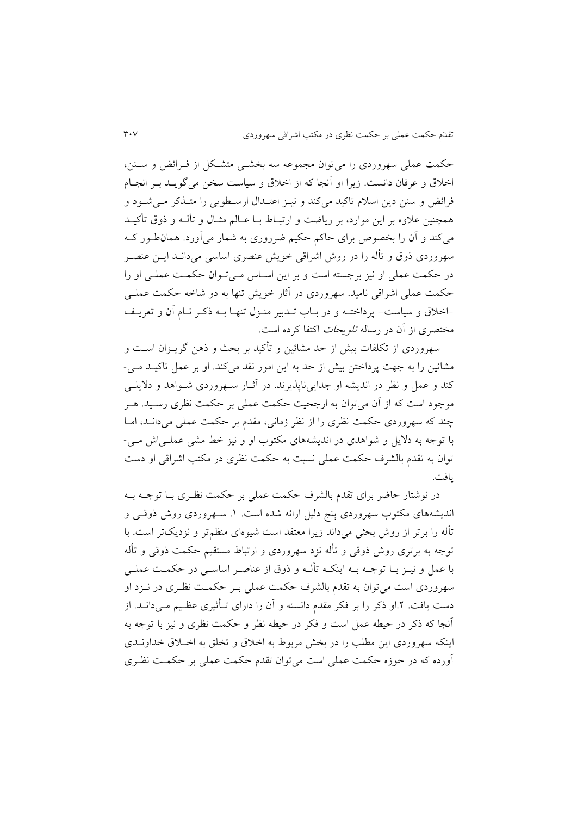حکمت عملی سهروردی را می توان مجموعه سه بخشبی متشکل از فـرائض و ســنن، اخالق و عرتان دانست. زيرا او آنجا که از اخالق و سیاست سخن میگويود بور انجوام فرائض و سنن دين اسلام تاکيد میکند و نيـز اعتـدال ارسـطويی را متـذکر مـی شـود و همچنین علاوه بر این موارد، بر ریاضت و ارتبـاط بــا عــالم مثــال و تألــه و ذوق تأکیــد میک د و آن را بخصو برای حاکم حکیم ضرروری به شمار میآورد. همانطوور کوه سهروردی ذوق و تأله را در روش اشراقی خويش عنصری اساسی میدانــد ايــن عنصــر در حکمت عملی او نیز برجسته است و بر این اسـاس مـی تـوان حکمـت عملـی او را حکمت عملی اشراقی نامید. سهروردی در آثار خویش تنها به دو شاخه حکمت عملـی -اخلاق و سیاست- پرداختــه و در بــاب تــدبیر منــزل تنهــا بــه ذکــر نــام آن و تعريــف مختصری از آن در رساله *تلويحات* اکتفا کرده است.

سهروردی از تکلفات بیش از حد مشائین و تأکید بر بحث و ذهن گریــزان اســت و مشائین را به جهت پرداختن بیش از حد به این امور نقد میکند. او بر عمل تاکیـد مـی-کند و عمل و نظر در انديشه او جدايىناپذيرند. در آثار سهروردی شـواهد و دلايلـی موجود است که از آن میتوان به ارجحیت حکمت عملی بر حکمت نظری رسوید. هور چند که سهروردی حکمت نظری را از نظر زمانی، مقدم بر حکمت عملی میداند، اما با توجه به داليل و شواهدی در انديشههای مکتوب او و نیز خط مشی عملوی اذ موی - توان به تقدم بالشرف حکمت عملی نسبت به حکمت نظری در مکتب اشراقی او دست يافت.

در نوشتار حاضر برای تقدم بالشرف حکمت عملی بر حکمت نظـری بـا توجـه بــه اندیشههای مکتوب سهروردی پنج دلیل ارائه شده است. ١. سـهروردی روش ذوقـی و تأله را برتر از روش بحثی میداند زيرا معتقد است شیوهای منظمتر و نزديکتر است. با توجه به برتری روش ذوقی و تأله نزد سهروردی و ارتباط مستقیم حکمت ذوقی و تأله با عمل و نیــز بــا توجــه بــه اینکــه تألــه و ذوق از عناصــر اساســی در حکمــت عملــی سهروردی است می توان به تقدم بالشرف حکمت عملی بـر حکمـت نظـری در نــزد او دست يافت. ٢.او ذکر را بر فکر مقدم دانسته و آن را دارای تـأثیری عظـیم مـی(دانــد. از آنجا که رکر در حیطه عمل است و تکر در حیطه نظر و حکمت نظری و نیز با توجه به اينكه سهروردی اين مطلب را در بخش مربوط به اخلاق و تخلق به اخـلاق خداونــدی آورده که در حوزه حکمت عملی است میتوان تقدم حکمت عملی بر حکموت نظوری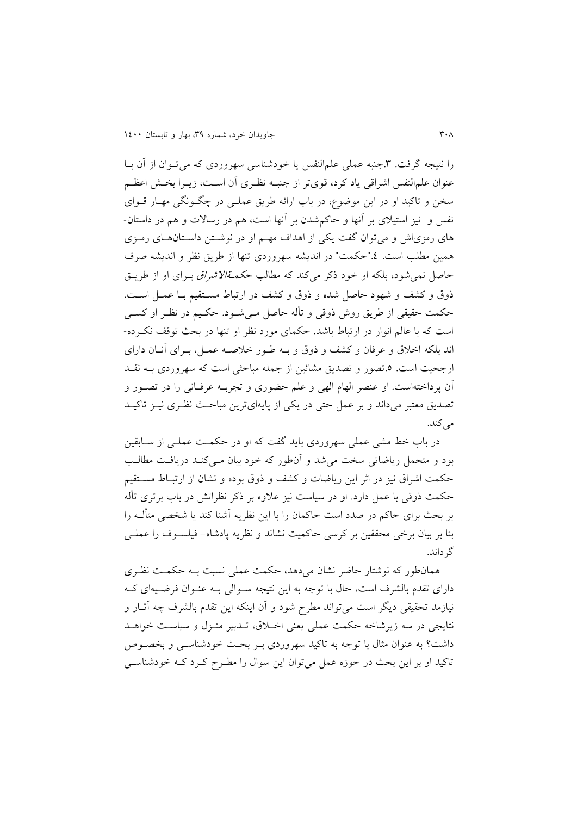را نتیجه گرفت. ٣.جنبه عملی علمالنفس یا خودشناسی سهروردی که می تـوان از آن بـا عنوان علمالنفس اشراقی ياد کرد، قویتر از جنبــه نظـری آن اســت، زيــرا بخــش اعظــم سخن و تاکید او در اين موضول، در باب ارائه طريق عملوی در چگوونگی مهوار قووای نفس و نیز استیلای بر آنها و حاکم شدن بر آنها است، هم در رسالات و هم در داستان-های رمزیاش و میتوان گفت يکی از اهداف مهـم او در نوشـتن داسـتانهـای رمـزی همین مطلب است. ٤."حکمت" در انديشه سهروردي تنها از طريق نظر و انديشه صرف حاصل نمی شود، بلکه او خود ذکر میکند که مطالب ح*کمةالاشراق بـرای او از طريــق* ذوق و کشف و شهود حاصل شده و ذوق و کشف در ارتباط مستقیم بـا عمـل اسـت. حکمت حقیقی از طریق روش ذوقی و تأله حاصل مےشود. حکـیم در نظـر او کسـی است که با عالم انوار در ارتباط باشد. حکمای مورد نظر او تنها در بحث توقف نکرده-اند بلکه اخلاق و عرفان و کشف و ذوق و بـه طـور خلاصـه عمـل، بـرای آنــان دارای ارجحیت است. ٥ تصور و تصدیق مشائین از جمله مباحثی است که سهروردی بــه نقــد آن پرداختهاست. او عنصر الهام الهی و علم حضوری و تجربـه عرفـانی را در تصـور و تصديق معتبر میداند و بر عمل حتی در يکی از پايهایترين مباحث نظری نيـز تاکيـد می کند.

در باب خط مشی عملی سهروردی باید گفت که او در حکمـت عملـی از ســابقین بود و متحمل رياضاتی سخت می شد و آنطور که خود بيان مــی کنــد دريافـت مطالـب حکمت اشراق نیز در اثر این ریاضات و کشف و ذوق بوده و نشان از ارتبـاط مسـتقیم حکمت ذوقی با عمل دارد. او در سیاست نیز علاوه بر ذکر نظراتش در باب برتری تأله بر بحث برای حاکم در صدد است حاکمان را با اين نظريه آشنا کند يا شخصی متألـه را بنا بر بیان برخی محققین بر کرسی حاکمیت نشاند و نظریه پادشاه- فیلسـوف را عملـی گرداند.

همانطور که نوشتار حاضر نشان میدهد، حکمت عملی نسبت بـه حکمـت نظـری دارای تقدم بالشرف است، حال با توجه به اين نتيجه سـوالی بـه عنـوان فرضـيهای کـه نیازمد تحقیقی دیگر است میتواند مطرح شود و آن اینکه این تقدم بالشرف چه آثــار و نتايجی در سه زيرشاخه حکمت عملی يعنی اخـلاق، تـدبیر منـزل و سیاسـت خواهـد داشت؟ به عنوان مثال با توجه به تاکید سهروردی بـر بحت خودشناسـبی و بخصـوص تاکید او بر این بحث در حوزه عمل میتوان این سوال را مطـرح کـرد کـه خودشناسـی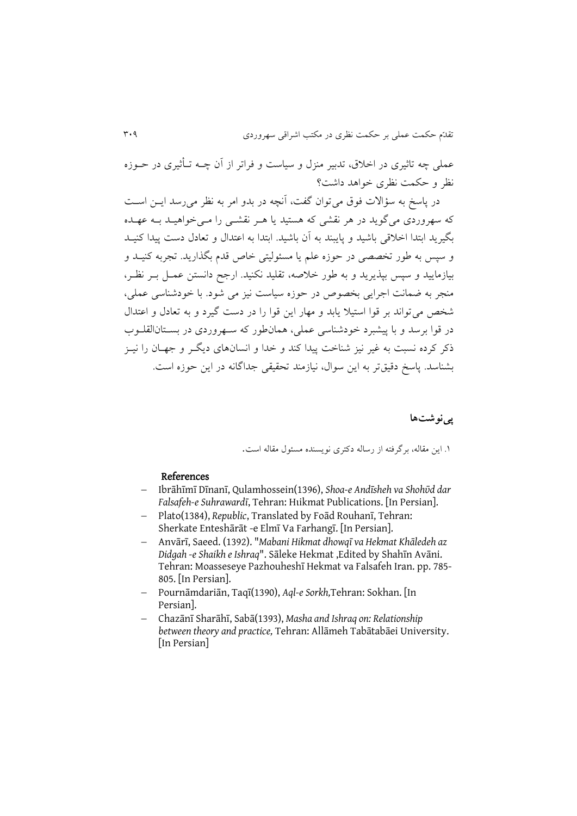عملی چه تاثیری در اخلاق، تدبیر منزل و سیاست و فراتر از آن چــه تــأثیری در حــوزه نظر و حکمت نظری خواهد داشت؟

در پاسخ به سؤالات فوق می توان گفت، آنچه در بدو امر به نظر می رسد ایـن اسـت که سهروردی می گويد در هر نقشی که هستید يا هـر نقشــی را مــی خواهیــد بــه عهــده بگیرید ابتدا اخلاقی باشید و پایبند به آن باشید. ابتدا به اعتدال و تعادل دست پیدا کنیـد و سپس به طور تخصصی در حوزه علم يا مسئوليتی خاص قدم بگذاريد. تجربه کنيــد و بیازمايید و سپس بپذيريد و به طور خلاصه، تقلید نکنید. ارجح دانستن عمـل بـر نظـر، منجر به ضمانت اجرایی بخصوص در حوزه سیاست نیز می شود. با خودشناسی عملی، شخص می تواند بر قوا استیلا يابد و مهار اين قوا را در دست گيرد و به تعادل و اعتدال در قوا برسد و با پیشبرد خودشناسی عملی، همانطور که سـهروردی در بسـتانالقلــوب ذکر کرده نسبت به غیر نیز شناخت پیدا کند و خدا و انسانهای دیگ و جهـان را نیــز بشناسد. پاسخ دقیقتر به این سوال، نیازمند تحقیقی جداگانه در این حوزه است.

## **پینوشتها**

۱. اين مقاله، برگرفته از رساله دکتری نويسنده مسئول مقاله است.

#### References

- Ibrāhīmī Dīnanī, Qulamhossein(1396), *Shoa-e Andīsheh va Shohῡd dar Falsafeh-e Suhrawardī*, Tehran: Hukmat Publications. [In Persian].
- Plato(1384), *Republic*, Translated by Foād Rouhanī, Tehran: Sherkate Enteshārāt -e Elmī Va Farhangī. [In Persian].
- Anvārī, Saeed. (1392). "*Mabani Hikmat dhowqī va Hekmat Khāledeh az Didgah -e Shaikh e Ishraq*". Sāleke Hekmat ,Edited by Shahīn Avāni. Tehran: Moasseseye Pazhouheshī Hekmat va Falsafeh Iran. pp. 785- 805. [In Persian].
- Pournāmdariān, Taqī(1390), *Aql-e Sorkh,*Tehran: Sokhan. [In Persian].
- Chazānī Sharāhī, Sabā(1393), *Masha and Ishraq on: Relationship between theory and practice,* Tehran: Allāmeh Tabātabāei University. [In Persian]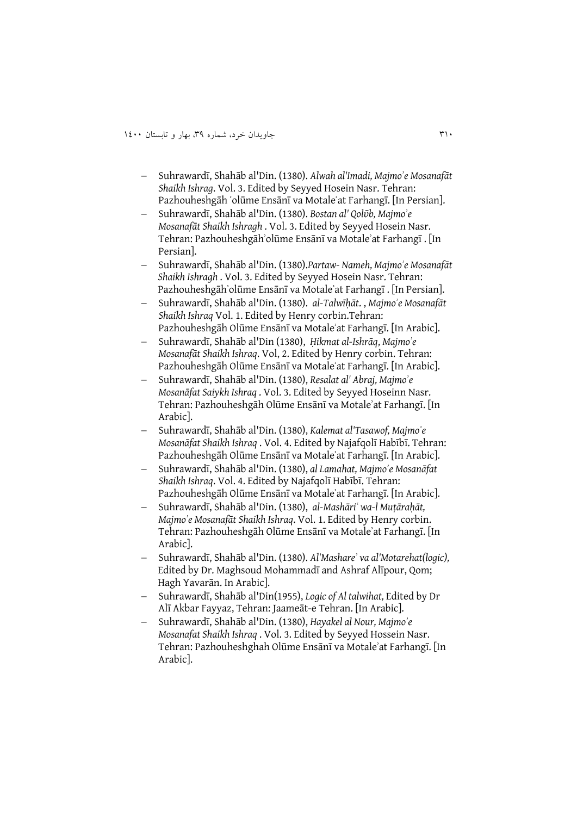- Suhrawardī, Shahāb al'Din. (1380). *Alwah al'Imadi, Majmoʾe Mosanafāt Shaikh Ishrag*. Vol. 3. Edited by Seyyed Hosein Nasr. Tehran: Pazhouheshgāh ʾolūme Ensānī va Motaleʾat Farhangī. [In Persian].
- Suhrawardī, Shahāb al'Din. (1380). *Bostan al' Qolῡb, Majmoʾe Mosanafāt Shaikh Ishragh* . Vol. 3. Edited by Seyyed Hosein Nasr. Tehran: Pazhouheshgāhʾolūme Ensānī va Motaleʾat Farhangī . [In Persian].
- Suhrawardī, Shahāb al'Din. (1380).*Partaw- Nameh, Majmoʾe Mosanafāt Shaikh Ishragh* . Vol. 3. Edited by Seyyed Hosein Nasr. Tehran: Pazhouheshgāhʾolūme Ensānī va Motaleʾat Farhangī . [In Persian].
- Suhrawardī, Shahāb al'Din. (1380). *al-Talwīḥāt*. , *Majmoʾe Mosanafāt Shaikh Ishraq* Vol. 1. Edited by Henry corbin.Tehran: Pazhouheshgāh Olūme Ensānī va Motaleʾat Farhangī. [In Arabic].
- Suhrawardī, Shahāb al'Din (1380), *Ḥikmat al-Ishrāq*, *Majmoʾe Mosanafāt Shaikh Ishraq*. Vol, 2. Edited by Henry corbin. Tehran: Pazhouheshgāh Olūme Ensānī va Motaleʾat Farhangī. [In Arabic].
- Suhrawardī, Shahāb al'Din. (1380), *Resalat al' Abraj, Majmoʾe Mosanāfat Saiykh Ishraq* . Vol. 3. Edited by Seyyed Hoseinn Nasr. Tehran: Pazhouheshgāh Olūme Ensānī va Motaleʾat Farhangī. [In Arabic].
- Suhrawardī, Shahāb al'Din. (1380), *Kalemat al'Tasawof, Majmoʾe Mosanāfat Shaikh Ishraq* . Vol. 4. Edited by Najafqolī Habībī. Tehran: Pazhouheshgāh Olūme Ensānī va Motaleʾat Farhangī. [In Arabic].
- Suhrawardī, Shahāb al'Din. (1380), *al Lamahat, Majmoʾe Mosanāfat Shaikh Ishraq*. Vol. 4. Edited by Najafqolī Habībī. Tehran: Pazhouheshgāh Olūme Ensānī va Motaleʾat Farhangī. [In Arabic].
- Suhrawardī, Shahāb al'Din. (1380), *al-Mashāriʿ wa-l Muṭāraḥāt, Majmoʾe Mosanafāt Shaikh Ishraq*. Vol. 1. Edited by Henry corbin. Tehran: Pazhouheshgāh Olūme Ensānī va Motaleʾat Farhangī. [In Arabic].
- Suhrawardī, Shahāb al'Din. (1380). *Al'Mashareʾ va al'Motarehat(logic),* Edited by Dr. Maghsoud Mohammadī and Ashraf Alīpour, Qom; Hagh Yavarān. In Arabic].
- Suhrawardī, Shahāb al'Din(1955), *Logic of Al talwihat,* Edited by Dr Alī Akbar Fayyaz, Tehran: Jaameāt-e Tehran. [In Arabic].
- Suhrawardī, Shahāb al'Din. (1380), *Hayakel al Nour, Majmoʾe Mosanafat Shaikh Ishraq* . Vol. 3. Edited by Seyyed Hossein Nasr. Tehran: Pazhouheshghah Olūme Ensānī va Motaleʾat Farhangī. [In Arabic].